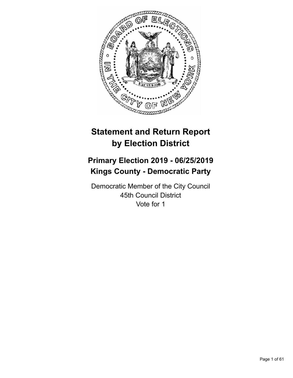

# **Statement and Return Report by Election District**

# **Primary Election 2019 - 06/25/2019 Kings County - Democratic Party**

Democratic Member of the City Council 45th Council District Vote for 1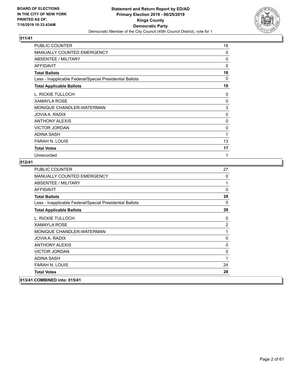

| PUBLIC COUNTER                                           | 18       |
|----------------------------------------------------------|----------|
| <b>MANUALLY COUNTED EMERGENCY</b>                        | $\Omega$ |
| ABSENTEE / MILITARY                                      | 0        |
| <b>AFFIDAVIT</b>                                         | $\Omega$ |
| <b>Total Ballots</b>                                     | 18       |
| Less - Inapplicable Federal/Special Presidential Ballots | 0        |
| <b>Total Applicable Ballots</b>                          | 18       |
| L. RICKIE TULLOCH                                        | 0        |
| <b>XAMAYLA ROSE</b>                                      | 0        |
| MONIQUE CHANDLER-WATERMAN                                | 3        |
| JOVIA A. RADIX                                           | 0        |
| <b>ANTHONY ALEXIS</b>                                    | $\Omega$ |
| <b>VICTOR JORDAN</b>                                     | 0        |
| <b>ADINA SASH</b>                                        | 1        |
| FARAH N. LOUIS                                           | 13       |
| <b>Total Votes</b>                                       | 17       |
| Unrecorded                                               | 1        |

| PUBLIC COUNTER                                           | 27           |
|----------------------------------------------------------|--------------|
| <b>MANUALLY COUNTED EMERGENCY</b>                        | 0            |
| ABSENTEE / MILITARY                                      | 1            |
| <b>AFFIDAVIT</b>                                         | $\Omega$     |
| <b>Total Ballots</b>                                     | 28           |
| Less - Inapplicable Federal/Special Presidential Ballots | $\Omega$     |
| <b>Total Applicable Ballots</b>                          | 28           |
| L. RICKIE TULLOCH                                        | 0            |
| <b>XAMAYLA ROSE</b>                                      | 2            |
| MONIQUE CHANDLER-WATERMAN                                | 1            |
| JOVIA A. RADIX                                           | 0            |
| <b>ANTHONY ALEXIS</b>                                    | 0            |
| <b>VICTOR JORDAN</b>                                     | $\mathbf{0}$ |
| <b>ADINA SASH</b>                                        | 1            |
| <b>FARAH N. LOUIS</b>                                    | 24           |
| <b>Total Votes</b>                                       | 28           |
| 013/41 COMBINED into: 015/41                             |              |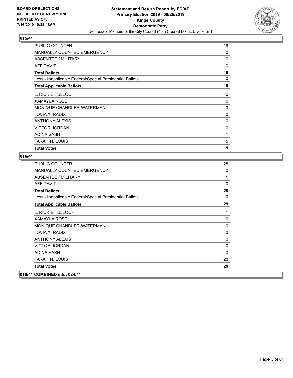

| <b>PUBLIC COUNTER</b>                                    | 19       |
|----------------------------------------------------------|----------|
| <b>MANUALLY COUNTED EMERGENCY</b>                        | 0        |
| ABSENTEE / MILITARY                                      | 0        |
| AFFIDAVIT                                                | $\Omega$ |
| <b>Total Ballots</b>                                     | 19       |
| Less - Inapplicable Federal/Special Presidential Ballots | $\Omega$ |
| <b>Total Applicable Ballots</b>                          | 19       |
| L. RICKIE TULLOCH                                        | 0        |
| <b>XAMAYLA ROSE</b>                                      | 0        |
| MONIQUE CHANDLER-WATERMAN                                | 3        |
| JOVIA A. RADIX                                           | 0        |
| <b>ANTHONY ALEXIS</b>                                    | 0        |
| <b>VICTOR JORDAN</b>                                     | 0        |
| ADINA SASH                                               | 1        |
| <b>FARAH N. LOUIS</b>                                    | 15       |
| <b>Total Votes</b>                                       | 19       |

| <b>PUBLIC COUNTER</b>                                    | 28           |
|----------------------------------------------------------|--------------|
| MANUALLY COUNTED EMERGENCY                               | $\Omega$     |
| <b>ABSENTEE / MILITARY</b>                               | 1            |
| <b>AFFIDAVIT</b>                                         | $\Omega$     |
| <b>Total Ballots</b>                                     | 29           |
| Less - Inapplicable Federal/Special Presidential Ballots | 0            |
| <b>Total Applicable Ballots</b>                          | 29           |
| L. RICKIE TULLOCH                                        | 1            |
| <b>XAMAYLA ROSE</b>                                      | $\mathbf 0$  |
| MONIQUE CHANDLER-WATERMAN                                | $\mathbf 0$  |
| JOVIA A. RADIX                                           | $\mathbf 0$  |
| <b>ANTHONY ALEXIS</b>                                    | 0            |
| <b>VICTOR JORDAN</b>                                     | $\mathbf{0}$ |
| <b>ADINA SASH</b>                                        | 0            |
| <b>FARAH N. LOUIS</b>                                    | 28           |
| <b>Total Votes</b>                                       | 29           |
| 019/41 COMBINED into: 024/41                             |              |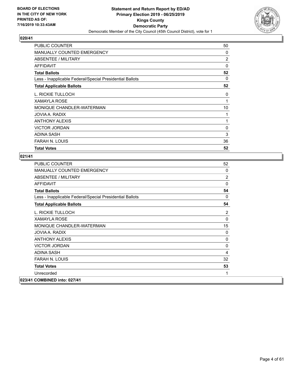

| <b>PUBLIC COUNTER</b>                                    | 50             |
|----------------------------------------------------------|----------------|
| <b>MANUALLY COUNTED EMERGENCY</b>                        | 0              |
| ABSENTEE / MILITARY                                      | $\overline{2}$ |
| <b>AFFIDAVIT</b>                                         | 0              |
| <b>Total Ballots</b>                                     | 52             |
| Less - Inapplicable Federal/Special Presidential Ballots | 0              |
| <b>Total Applicable Ballots</b>                          | 52             |
| L. RICKIE TULLOCH                                        | 0              |
| <b>XAMAYLA ROSE</b>                                      | 1              |
| MONIQUE CHANDLER-WATERMAN                                | 10             |
| JOVIA A. RADIX                                           | 1              |
| <b>ANTHONY ALEXIS</b>                                    | 1              |
| <b>VICTOR JORDAN</b>                                     | 0              |
| <b>ADINA SASH</b>                                        | 3              |
| <b>FARAH N. LOUIS</b>                                    | 36             |
| <b>Total Votes</b>                                       | 52             |

| <b>PUBLIC COUNTER</b>                                    | 52 |
|----------------------------------------------------------|----|
| MANUALLY COUNTED EMERGENCY                               | 0  |
| <b>ABSENTEE / MILITARY</b>                               | 2  |
| <b>AFFIDAVIT</b>                                         | 0  |
| <b>Total Ballots</b>                                     | 54 |
| Less - Inapplicable Federal/Special Presidential Ballots | 0  |
| <b>Total Applicable Ballots</b>                          | 54 |
| L. RICKIE TULLOCH                                        | 2  |
| <b>XAMAYLA ROSE</b>                                      | 0  |
| MONIQUE CHANDLER-WATERMAN                                | 15 |
| <b>JOVIA A. RADIX</b>                                    | 0  |
| <b>ANTHONY ALEXIS</b>                                    | 0  |
| <b>VICTOR JORDAN</b>                                     | 0  |
| ADINA SASH                                               | 4  |
| <b>FARAH N. LOUIS</b>                                    | 32 |
| <b>Total Votes</b>                                       | 53 |
| Unrecorded                                               | 1  |
| 023/41 COMBINED into: 027/41                             |    |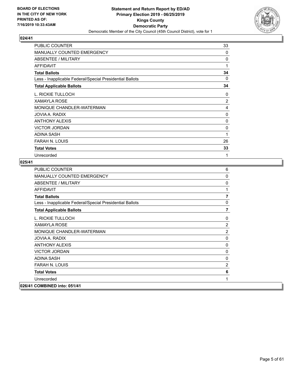

| <b>PUBLIC COUNTER</b>                                    | 33       |
|----------------------------------------------------------|----------|
| <b>MANUALLY COUNTED EMERGENCY</b>                        | $\Omega$ |
| ABSENTEE / MILITARY                                      | 0        |
| AFFIDAVIT                                                | 1        |
| <b>Total Ballots</b>                                     | 34       |
| Less - Inapplicable Federal/Special Presidential Ballots | 0        |
| <b>Total Applicable Ballots</b>                          | 34       |
| L. RICKIE TULLOCH                                        | 0        |
| <b>XAMAYLA ROSE</b>                                      | 2        |
| MONIQUE CHANDLER-WATERMAN                                | 4        |
| JOVIA A. RADIX                                           | 0        |
| <b>ANTHONY ALEXIS</b>                                    | 0        |
| <b>VICTOR JORDAN</b>                                     | 0        |
| <b>ADINA SASH</b>                                        | 1        |
| FARAH N. LOUIS                                           | 26       |
| <b>Total Votes</b>                                       | 33       |
| Unrecorded                                               | 1        |

| <b>PUBLIC COUNTER</b>                                    | 6              |
|----------------------------------------------------------|----------------|
| <b>MANUALLY COUNTED EMERGENCY</b>                        | $\mathbf 0$    |
| <b>ABSENTEE / MILITARY</b>                               | $\mathbf 0$    |
| <b>AFFIDAVIT</b>                                         | 1              |
| <b>Total Ballots</b>                                     | $\overline{7}$ |
| Less - Inapplicable Federal/Special Presidential Ballots | $\mathbf{0}$   |
| <b>Total Applicable Ballots</b>                          | $\overline{7}$ |
| L. RICKIE TULLOCH                                        | 0              |
| <b>XAMAYLA ROSE</b>                                      | $\overline{2}$ |
| MONIQUE CHANDLER-WATERMAN                                | 2              |
| JOVIA A. RADIX                                           | $\Omega$       |
| <b>ANTHONY ALEXIS</b>                                    | 0              |
| <b>VICTOR JORDAN</b>                                     | 0              |
| ADINA SASH                                               | 0              |
| <b>FARAH N. LOUIS</b>                                    | $\overline{2}$ |
| <b>Total Votes</b>                                       | 6              |
| Unrecorded                                               | 1              |
| 026/41 COMBINED into: 051/41                             |                |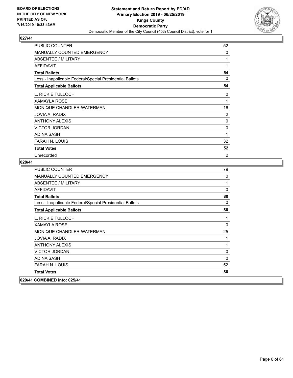

| <b>PUBLIC COUNTER</b>                                    | 52           |
|----------------------------------------------------------|--------------|
| <b>MANUALLY COUNTED EMERGENCY</b>                        | $\Omega$     |
| ABSENTEE / MILITARY                                      | 1            |
| AFFIDAVIT                                                | 1            |
| <b>Total Ballots</b>                                     | 54           |
| Less - Inapplicable Federal/Special Presidential Ballots | 0            |
| <b>Total Applicable Ballots</b>                          | 54           |
| L. RICKIE TULLOCH                                        | 0            |
| <b>XAMAYLA ROSE</b>                                      | $\mathbf{1}$ |
| MONIQUE CHANDLER-WATERMAN                                | 16           |
| JOVIA A. RADIX                                           | 2            |
| <b>ANTHONY ALEXIS</b>                                    | 0            |
| <b>VICTOR JORDAN</b>                                     | 0            |
| <b>ADINA SASH</b>                                        | 1            |
| FARAH N. LOUIS                                           | 32           |
| <b>Total Votes</b>                                       | 52           |
| Unrecorded                                               | 2            |

| PUBLIC COUNTER                                           | 79           |
|----------------------------------------------------------|--------------|
| <b>MANUALLY COUNTED EMERGENCY</b>                        | 0            |
| ABSENTEE / MILITARY                                      | 1            |
| <b>AFFIDAVIT</b>                                         | $\mathbf{0}$ |
| <b>Total Ballots</b>                                     | 80           |
| Less - Inapplicable Federal/Special Presidential Ballots | 0            |
| <b>Total Applicable Ballots</b>                          | 80           |
| L. RICKIE TULLOCH                                        | 1            |
| <b>XAMAYLA ROSE</b>                                      | $\mathbf{0}$ |
| MONIQUE CHANDLER-WATERMAN                                | 25           |
| JOVIA A. RADIX                                           | 1            |
| <b>ANTHONY ALEXIS</b>                                    | 1            |
| <b>VICTOR JORDAN</b>                                     | 0            |
| <b>ADINA SASH</b>                                        | 0            |
| <b>FARAH N. LOUIS</b>                                    | 52           |
| <b>Total Votes</b>                                       | 80           |
| 029/41 COMBINED into: 025/41                             |              |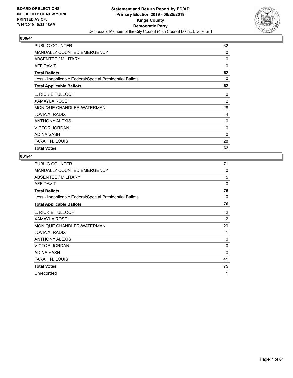

| PUBLIC COUNTER                                           | 62             |
|----------------------------------------------------------|----------------|
| <b>MANUALLY COUNTED EMERGENCY</b>                        | 0              |
| <b>ABSENTEE / MILITARY</b>                               | 0              |
| <b>AFFIDAVIT</b>                                         | $\Omega$       |
| <b>Total Ballots</b>                                     | 62             |
| Less - Inapplicable Federal/Special Presidential Ballots | $\Omega$       |
| <b>Total Applicable Ballots</b>                          | 62             |
| L. RICKIE TULLOCH                                        | 0              |
| <b>XAMAYLA ROSE</b>                                      | $\overline{2}$ |
| MONIQUE CHANDLER-WATERMAN                                | 28             |
| JOVIA A. RADIX                                           | 4              |
| <b>ANTHONY ALEXIS</b>                                    | $\Omega$       |
| <b>VICTOR JORDAN</b>                                     | 0              |
| <b>ADINA SASH</b>                                        | 0              |
| <b>FARAH N. LOUIS</b>                                    | 28             |
| <b>Total Votes</b>                                       | 62             |

| <b>PUBLIC COUNTER</b>                                    | 71             |
|----------------------------------------------------------|----------------|
| MANUALLY COUNTED EMERGENCY                               | 0              |
| ABSENTEE / MILITARY                                      | 5              |
| <b>AFFIDAVIT</b>                                         | 0              |
| <b>Total Ballots</b>                                     | 76             |
| Less - Inapplicable Federal/Special Presidential Ballots | 0              |
| <b>Total Applicable Ballots</b>                          | 76             |
| L. RICKIE TULLOCH                                        | 2              |
| <b>XAMAYLA ROSE</b>                                      | $\overline{c}$ |
| MONIQUE CHANDLER-WATERMAN                                | 29             |
| JOVIA A. RADIX                                           | 1              |
| <b>ANTHONY ALEXIS</b>                                    | 0              |
| <b>VICTOR JORDAN</b>                                     | 0              |
| ADINA SASH                                               | $\Omega$       |
| <b>FARAH N. LOUIS</b>                                    | 41             |
| <b>Total Votes</b>                                       | 75             |
| Unrecorded                                               | 1              |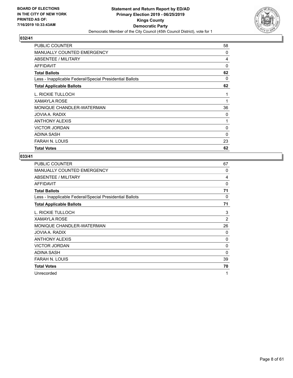

| PUBLIC COUNTER                                           | 58       |
|----------------------------------------------------------|----------|
| <b>MANUALLY COUNTED EMERGENCY</b>                        | 0        |
| ABSENTEE / MILITARY                                      | 4        |
| <b>AFFIDAVIT</b>                                         | $\Omega$ |
| <b>Total Ballots</b>                                     | 62       |
| Less - Inapplicable Federal/Special Presidential Ballots | 0        |
| <b>Total Applicable Ballots</b>                          | 62       |
| L. RICKIE TULLOCH                                        | 1        |
| <b>XAMAYLA ROSE</b>                                      | 1        |
| MONIQUE CHANDLER-WATERMAN                                | 36       |
| JOVIA A. RADIX                                           | 0        |
| <b>ANTHONY ALEXIS</b>                                    | 1        |
| <b>VICTOR JORDAN</b>                                     | 0        |
| <b>ADINA SASH</b>                                        | 0        |
| <b>FARAH N. LOUIS</b>                                    | 23       |
| <b>Total Votes</b>                                       | 62       |

| <b>PUBLIC COUNTER</b>                                    | 67             |
|----------------------------------------------------------|----------------|
| MANUALLY COUNTED EMERGENCY                               | 0              |
| ABSENTEE / MILITARY                                      | 4              |
| <b>AFFIDAVIT</b>                                         | 0              |
| <b>Total Ballots</b>                                     | 71             |
| Less - Inapplicable Federal/Special Presidential Ballots | 0              |
| <b>Total Applicable Ballots</b>                          | 71             |
| L. RICKIE TULLOCH                                        | 3              |
| <b>XAMAYLA ROSE</b>                                      | $\overline{c}$ |
| MONIQUE CHANDLER-WATERMAN                                | 26             |
| JOVIA A. RADIX                                           | 0              |
| <b>ANTHONY ALEXIS</b>                                    | 0              |
| <b>VICTOR JORDAN</b>                                     | 0              |
| ADINA SASH                                               | $\Omega$       |
| <b>FARAH N. LOUIS</b>                                    | 39             |
| <b>Total Votes</b>                                       | 70             |
| Unrecorded                                               | 1              |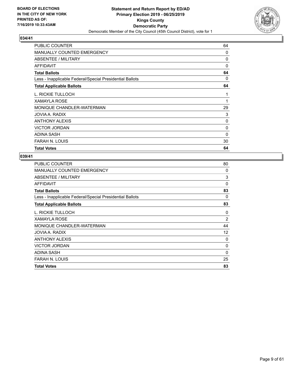

| PUBLIC COUNTER                                           | 64           |
|----------------------------------------------------------|--------------|
| <b>MANUALLY COUNTED EMERGENCY</b>                        | 0            |
| ABSENTEE / MILITARY                                      | 0            |
| <b>AFFIDAVIT</b>                                         | $\Omega$     |
| <b>Total Ballots</b>                                     | 64           |
| Less - Inapplicable Federal/Special Presidential Ballots | 0            |
| <b>Total Applicable Ballots</b>                          | 64           |
| L. RICKIE TULLOCH                                        | 1            |
| <b>XAMAYLA ROSE</b>                                      | 1            |
| MONIQUE CHANDLER-WATERMAN                                | 29           |
| JOVIA A. RADIX                                           | 3            |
| <b>ANTHONY ALEXIS</b>                                    | $\mathbf{0}$ |
| <b>VICTOR JORDAN</b>                                     | 0            |
| <b>ADINA SASH</b>                                        | 0            |
| <b>FARAH N. LOUIS</b>                                    | 30           |
| <b>Total Votes</b>                                       | 64           |

| <b>Total Votes</b>                                       | 83             |
|----------------------------------------------------------|----------------|
| <b>FARAH N. LOUIS</b>                                    | 25             |
| ADINA SASH                                               | $\Omega$       |
| <b>VICTOR JORDAN</b>                                     | 0              |
| <b>ANTHONY ALEXIS</b>                                    | 0              |
| JOVIA A. RADIX                                           | 12             |
| MONIQUE CHANDLER-WATERMAN                                | 44             |
| XAMAYLA ROSE                                             | $\overline{c}$ |
| L. RICKIE TULLOCH                                        | 0              |
| <b>Total Applicable Ballots</b>                          | 83             |
| Less - Inapplicable Federal/Special Presidential Ballots | $\Omega$       |
| <b>Total Ballots</b>                                     | 83             |
| <b>AFFIDAVIT</b>                                         | 0              |
| ABSENTEE / MILITARY                                      | 3              |
| <b>MANUALLY COUNTED EMERGENCY</b>                        | $\Omega$       |
| <b>PUBLIC COUNTER</b>                                    | 80             |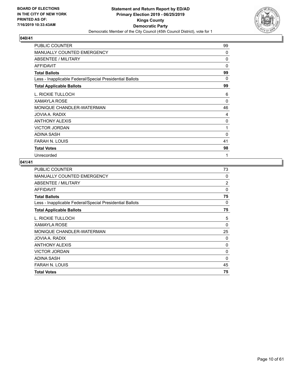

| PUBLIC COUNTER                                           | 99       |
|----------------------------------------------------------|----------|
| MANUALLY COUNTED EMERGENCY                               | 0        |
| ABSENTEE / MILITARY                                      | 0        |
| <b>AFFIDAVIT</b>                                         | 0        |
| <b>Total Ballots</b>                                     | 99       |
| Less - Inapplicable Federal/Special Presidential Ballots | 0        |
| <b>Total Applicable Ballots</b>                          | 99       |
| L. RICKIE TULLOCH                                        | 6        |
| <b>XAMAYLA ROSE</b>                                      | $\Omega$ |
| MONIQUE CHANDLER-WATERMAN                                | 46       |
| JOVIA A. RADIX                                           | 4        |
| <b>ANTHONY ALEXIS</b>                                    | 0        |
| <b>VICTOR JORDAN</b>                                     | 1        |
| <b>ADINA SASH</b>                                        | $\Omega$ |
| FARAH N. LOUIS                                           | 41       |
| <b>Total Votes</b>                                       | 98       |
| Unrecorded                                               | 1        |

| <b>PUBLIC COUNTER</b>                                    | 73             |
|----------------------------------------------------------|----------------|
| <b>MANUALLY COUNTED EMERGENCY</b>                        | 0              |
| ABSENTEE / MILITARY                                      | $\overline{2}$ |
| AFFIDAVIT                                                | 0              |
| <b>Total Ballots</b>                                     | 75             |
| Less - Inapplicable Federal/Special Presidential Ballots | 0              |
| <b>Total Applicable Ballots</b>                          | 75             |
| L. RICKIE TULLOCH                                        | 5              |
| <b>XAMAYLA ROSE</b>                                      | 0              |
| MONIQUE CHANDLER-WATERMAN                                | 25             |
| JOVIA A. RADIX                                           | 0              |
| <b>ANTHONY ALEXIS</b>                                    | 0              |
| <b>VICTOR JORDAN</b>                                     | 0              |
| <b>ADINA SASH</b>                                        | 0              |
| <b>FARAH N. LOUIS</b>                                    | 45             |
| <b>Total Votes</b>                                       | 75             |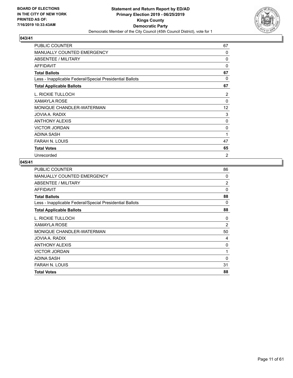

| PUBLIC COUNTER                                           | 67             |
|----------------------------------------------------------|----------------|
| <b>MANUALLY COUNTED EMERGENCY</b>                        | 0              |
| ABSENTEE / MILITARY                                      | 0              |
| AFFIDAVIT                                                | 0              |
| <b>Total Ballots</b>                                     | 67             |
| Less - Inapplicable Federal/Special Presidential Ballots | 0              |
| <b>Total Applicable Ballots</b>                          | 67             |
| L. RICKIE TULLOCH                                        | 2              |
| <b>XAMAYLA ROSE</b>                                      | 0              |
| MONIQUE CHANDLER-WATERMAN                                | 12             |
| JOVIA A. RADIX                                           | 3              |
| <b>ANTHONY ALEXIS</b>                                    | 0              |
| <b>VICTOR JORDAN</b>                                     | 0              |
| <b>ADINA SASH</b>                                        | 1              |
| FARAH N. LOUIS                                           | 47             |
| <b>Total Votes</b>                                       | 65             |
| Unrecorded                                               | $\overline{2}$ |

| <b>PUBLIC COUNTER</b>                                    | 86             |
|----------------------------------------------------------|----------------|
| MANUALLY COUNTED EMERGENCY                               | 0              |
| ABSENTEE / MILITARY                                      | 2              |
| <b>AFFIDAVIT</b>                                         | $\Omega$       |
| <b>Total Ballots</b>                                     | 88             |
| Less - Inapplicable Federal/Special Presidential Ballots | 0              |
| <b>Total Applicable Ballots</b>                          | 88             |
| L. RICKIE TULLOCH                                        | 0              |
| <b>XAMAYLA ROSE</b>                                      | $\overline{2}$ |
| MONIQUE CHANDLER-WATERMAN                                | 50             |
| JOVIA A. RADIX                                           | 4              |
| <b>ANTHONY ALEXIS</b>                                    | 0              |
| <b>VICTOR JORDAN</b>                                     | 1              |
| ADINA SASH                                               | $\Omega$       |
| FARAH N. LOUIS                                           | 31             |
| <b>Total Votes</b>                                       | 88             |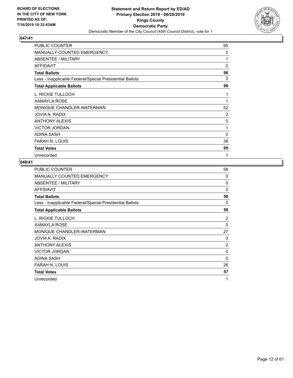

| PUBLIC COUNTER                                           | 95             |
|----------------------------------------------------------|----------------|
| MANUALLY COUNTED EMERGENCY                               | 0              |
| <b>ABSENTEE / MILITARY</b>                               | 1              |
| <b>AFFIDAVIT</b>                                         | 0              |
| <b>Total Ballots</b>                                     | 96             |
| Less - Inapplicable Federal/Special Presidential Ballots | 0              |
| <b>Total Applicable Ballots</b>                          | 96             |
| L. RICKIE TULLOCH                                        | 1              |
| <b>XAMAYLA ROSE</b>                                      | 1              |
| MONIQUE CHANDLER-WATERMAN                                | 52             |
| JOVIA A. RADIX                                           | $\overline{2}$ |
| ANTHONY ALEXIS                                           | 0              |
| <b>VICTOR JORDAN</b>                                     | 1              |
| <b>ADINA SASH</b>                                        | $\Omega$       |
| FARAH N. LOUIS                                           | 38             |
| <b>Total Votes</b>                                       | 95             |
| Unrecorded                                               | 1              |

| <b>PUBLIC COUNTER</b>                                    | 58             |
|----------------------------------------------------------|----------------|
| <b>MANUALLY COUNTED EMERGENCY</b>                        | 0              |
| ABSENTEE / MILITARY                                      | 0              |
| AFFIDAVIT                                                | $\Omega$       |
| <b>Total Ballots</b>                                     | 58             |
| Less - Inapplicable Federal/Special Presidential Ballots | 0              |
| <b>Total Applicable Ballots</b>                          | 58             |
| L. RICKIE TULLOCH                                        | 2              |
| <b>XAMAYLA ROSE</b>                                      | $\Omega$       |
| MONIQUE CHANDLER-WATERMAN                                | 27             |
| JOVIA A. RADIX                                           | 0              |
| <b>ANTHONY ALEXIS</b>                                    | $\overline{2}$ |
| <b>VICTOR JORDAN</b>                                     | 0              |
| ADINA SASH                                               | 0              |
| FARAH N. LOUIS                                           | 26             |
| <b>Total Votes</b>                                       | 57             |
| Unrecorded                                               | 1              |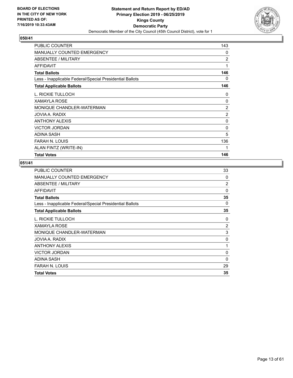

| <b>PUBLIC COUNTER</b>                                    | 143            |
|----------------------------------------------------------|----------------|
| <b>MANUALLY COUNTED EMERGENCY</b>                        | 0              |
| ABSENTEE / MILITARY                                      | $\overline{2}$ |
| AFFIDAVIT                                                | 1              |
| <b>Total Ballots</b>                                     | 146            |
| Less - Inapplicable Federal/Special Presidential Ballots | 0              |
| <b>Total Applicable Ballots</b>                          | 146            |
| L. RICKIE TULLOCH                                        | 0              |
| XAMAYLA ROSE                                             | $\Omega$       |
| MONIQUE CHANDLER-WATERMAN                                | $\overline{2}$ |
| JOVIA A. RADIX                                           | $\overline{c}$ |
| <b>ANTHONY ALEXIS</b>                                    | 0              |
| <b>VICTOR JORDAN</b>                                     | 0              |
| ADINA SASH                                               | 5              |
| <b>FARAH N. LOUIS</b>                                    | 136            |
| ALAN FINTZ (WRITE-IN)                                    | $\mathbf 1$    |
| <b>Total Votes</b>                                       | 146            |

| <b>PUBLIC COUNTER</b>                                    | 33             |
|----------------------------------------------------------|----------------|
| MANUALLY COUNTED EMERGENCY                               | 0              |
| ABSENTEE / MILITARY                                      | $\overline{2}$ |
| <b>AFFIDAVIT</b>                                         | $\Omega$       |
| <b>Total Ballots</b>                                     | 35             |
| Less - Inapplicable Federal/Special Presidential Ballots | 0              |
| <b>Total Applicable Ballots</b>                          | 35             |
| L. RICKIE TULLOCH                                        | 0              |
| <b>XAMAYLA ROSE</b>                                      | $\overline{2}$ |
| MONIQUE CHANDLER-WATERMAN                                | 3              |
| JOVIA A. RADIX                                           | 0              |
| <b>ANTHONY ALEXIS</b>                                    | 1              |
| <b>VICTOR JORDAN</b>                                     | $\Omega$       |
| <b>ADINA SASH</b>                                        | 0              |
| <b>FARAH N. LOUIS</b>                                    | 29             |
| <b>Total Votes</b>                                       | 35             |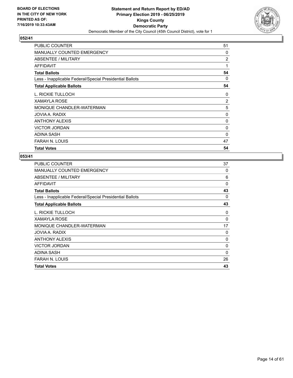

| PUBLIC COUNTER                                           | 51       |
|----------------------------------------------------------|----------|
| <b>MANUALLY COUNTED EMERGENCY</b>                        | $\Omega$ |
| ABSENTEE / MILITARY                                      | 2        |
| AFFIDAVIT                                                | 1        |
| <b>Total Ballots</b>                                     | 54       |
| Less - Inapplicable Federal/Special Presidential Ballots | 0        |
| <b>Total Applicable Ballots</b>                          | 54       |
| L. RICKIE TULLOCH                                        | 0        |
| <b>XAMAYLA ROSE</b>                                      | 2        |
| MONIQUE CHANDLER-WATERMAN                                | 5        |
| JOVIA A. RADIX                                           | 0        |
| <b>ANTHONY ALEXIS</b>                                    | 0        |
| <b>VICTOR JORDAN</b>                                     | 0        |
| <b>ADINA SASH</b>                                        | 0        |
| <b>FARAH N. LOUIS</b>                                    | 47       |
| <b>Total Votes</b>                                       | 54       |

| <b>PUBLIC COUNTER</b>                                    | 37       |
|----------------------------------------------------------|----------|
| <b>MANUALLY COUNTED EMERGENCY</b>                        | $\Omega$ |
| ABSENTEE / MILITARY                                      | 6        |
| <b>AFFIDAVIT</b>                                         | 0        |
| <b>Total Ballots</b>                                     | 43       |
| Less - Inapplicable Federal/Special Presidential Ballots | 0        |
| <b>Total Applicable Ballots</b>                          | 43       |
| L. RICKIE TULLOCH                                        | 0        |
| XAMAYLA ROSE                                             | 0        |
| MONIQUE CHANDLER-WATERMAN                                | 17       |
| JOVIA A. RADIX                                           | 0        |
| <b>ANTHONY ALEXIS</b>                                    | 0        |
| <b>VICTOR JORDAN</b>                                     | 0        |
| ADINA SASH                                               | $\Omega$ |
| <b>FARAH N. LOUIS</b>                                    | 26       |
| <b>Total Votes</b>                                       | 43       |
|                                                          |          |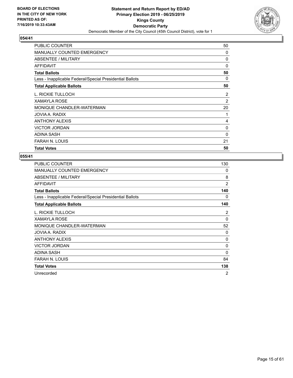

| PUBLIC COUNTER                                           | 50 |
|----------------------------------------------------------|----|
| <b>MANUALLY COUNTED EMERGENCY</b>                        | 0  |
| ABSENTEE / MILITARY                                      | 0  |
| AFFIDAVIT                                                | 0  |
| <b>Total Ballots</b>                                     | 50 |
| Less - Inapplicable Federal/Special Presidential Ballots | 0  |
| <b>Total Applicable Ballots</b>                          | 50 |
| L. RICKIE TULLOCH                                        | 2  |
| <b>XAMAYLA ROSE</b>                                      | 2  |
| MONIQUE CHANDLER-WATERMAN                                | 20 |
| JOVIA A. RADIX                                           | 1  |
| <b>ANTHONY ALEXIS</b>                                    | 4  |
| <b>VICTOR JORDAN</b>                                     | 0  |
| <b>ADINA SASH</b>                                        | 0  |
| <b>FARAH N. LOUIS</b>                                    | 21 |
| <b>Total Votes</b>                                       | 50 |

| <b>PUBLIC COUNTER</b>                                    | 130            |
|----------------------------------------------------------|----------------|
| <b>MANUALLY COUNTED EMERGENCY</b>                        | 0              |
| <b>ABSENTEE / MILITARY</b>                               | 8              |
| <b>AFFIDAVIT</b>                                         | $\overline{2}$ |
| <b>Total Ballots</b>                                     | 140            |
| Less - Inapplicable Federal/Special Presidential Ballots | 0              |
| <b>Total Applicable Ballots</b>                          | 140            |
| L. RICKIE TULLOCH                                        | 2              |
| <b>XAMAYLA ROSE</b>                                      | 0              |
| MONIQUE CHANDLER-WATERMAN                                | 52             |
| JOVIA A. RADIX                                           | $\Omega$       |
| <b>ANTHONY ALEXIS</b>                                    | 0              |
| <b>VICTOR JORDAN</b>                                     | 0              |
| <b>ADINA SASH</b>                                        | $\Omega$       |
| <b>FARAH N. LOUIS</b>                                    | 84             |
| <b>Total Votes</b>                                       | 138            |
| Unrecorded                                               | 2              |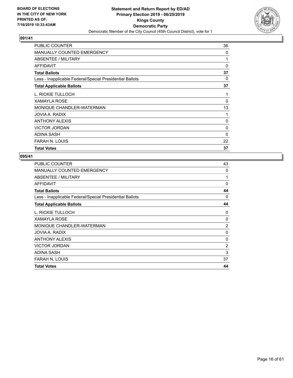

| <b>PUBLIC COUNTER</b>                                    | 36 |
|----------------------------------------------------------|----|
| <b>MANUALLY COUNTED EMERGENCY</b>                        | 0  |
| ABSENTEE / MILITARY                                      | 1  |
| AFFIDAVIT                                                | 0  |
| <b>Total Ballots</b>                                     | 37 |
| Less - Inapplicable Federal/Special Presidential Ballots | 0  |
| <b>Total Applicable Ballots</b>                          | 37 |
| L. RICKIE TULLOCH                                        | 1  |
| <b>XAMAYLA ROSE</b>                                      | 0  |
| MONIQUE CHANDLER-WATERMAN                                | 13 |
| JOVIA A. RADIX                                           | 1  |
| <b>ANTHONY ALEXIS</b>                                    | 0  |
| <b>VICTOR JORDAN</b>                                     | 0  |
| <b>ADINA SASH</b>                                        | 0  |
| <b>FARAH N. LOUIS</b>                                    | 22 |
| <b>Total Votes</b>                                       | 37 |

| <b>PUBLIC COUNTER</b>                                    | 43             |
|----------------------------------------------------------|----------------|
| <b>MANUALLY COUNTED EMERGENCY</b>                        | 0              |
| ABSENTEE / MILITARY                                      | 1              |
| <b>AFFIDAVIT</b>                                         | 0              |
| <b>Total Ballots</b>                                     | 44             |
| Less - Inapplicable Federal/Special Presidential Ballots | $\Omega$       |
| <b>Total Applicable Ballots</b>                          | 44             |
| L. RICKIE TULLOCH                                        | 0              |
| XAMAYLA ROSE                                             | 0              |
| MONIQUE CHANDLER-WATERMAN                                | $\overline{2}$ |
| JOVIA A. RADIX                                           | 0              |
| <b>ANTHONY ALEXIS</b>                                    | 0              |
| <b>VICTOR JORDAN</b>                                     | $\overline{2}$ |
| ADINA SASH                                               | 3              |
| <b>FARAH N. LOUIS</b>                                    | 37             |
| <b>Total Votes</b>                                       | 44             |
|                                                          |                |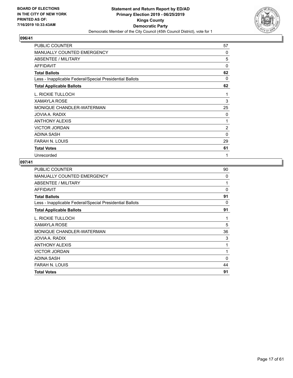

| <b>PUBLIC COUNTER</b>                                    | 57             |
|----------------------------------------------------------|----------------|
| MANUALLY COUNTED EMERGENCY                               | $\Omega$       |
| <b>ABSENTEE / MILITARY</b>                               | 5              |
| <b>AFFIDAVIT</b>                                         | 0              |
| <b>Total Ballots</b>                                     | 62             |
| Less - Inapplicable Federal/Special Presidential Ballots | $\Omega$       |
| <b>Total Applicable Ballots</b>                          | 62             |
| L. RICKIE TULLOCH                                        | 1              |
| <b>XAMAYLA ROSE</b>                                      | 3              |
| MONIQUE CHANDLER-WATERMAN                                | 25             |
| JOVIA A. RADIX                                           | 0              |
| ANTHONY ALEXIS                                           | 1              |
| <b>VICTOR JORDAN</b>                                     | $\overline{c}$ |
| <b>ADINA SASH</b>                                        | 0              |
| FARAH N. LOUIS                                           | 29             |
| <b>Total Votes</b>                                       | 61             |
| Unrecorded                                               | 1              |

| <b>PUBLIC COUNTER</b>                                    | 90       |
|----------------------------------------------------------|----------|
| <b>MANUALLY COUNTED EMERGENCY</b>                        | $\Omega$ |
| ABSENTEE / MILITARY                                      | 1        |
| <b>AFFIDAVIT</b>                                         | $\Omega$ |
| <b>Total Ballots</b>                                     | 91       |
| Less - Inapplicable Federal/Special Presidential Ballots | 0        |
| <b>Total Applicable Ballots</b>                          | 91       |
| L. RICKIE TULLOCH                                        | 1        |
| <b>XAMAYLA ROSE</b>                                      | 5        |
| MONIQUE CHANDLER-WATERMAN                                | 36       |
| JOVIA A. RADIX                                           | 3        |
| <b>ANTHONY ALEXIS</b>                                    | 1        |
| <b>VICTOR JORDAN</b>                                     | 1        |
| <b>ADINA SASH</b>                                        | 0        |
| <b>FARAH N. LOUIS</b>                                    | 44       |
| <b>Total Votes</b>                                       | 91       |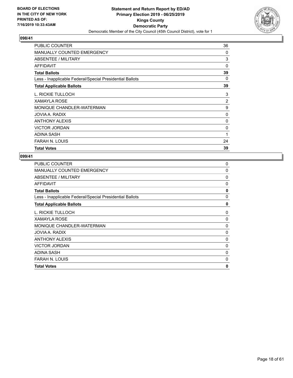

| PUBLIC COUNTER                                           | 36 |
|----------------------------------------------------------|----|
| <b>MANUALLY COUNTED EMERGENCY</b>                        | 0  |
| ABSENTEE / MILITARY                                      | 3  |
| AFFIDAVIT                                                | 0  |
| <b>Total Ballots</b>                                     | 39 |
| Less - Inapplicable Federal/Special Presidential Ballots | 0  |
| <b>Total Applicable Ballots</b>                          | 39 |
| L. RICKIE TULLOCH                                        | 3  |
| <b>XAMAYLA ROSE</b>                                      | 2  |
| MONIQUE CHANDLER-WATERMAN                                | 9  |
| JOVIA A. RADIX                                           | 0  |
| <b>ANTHONY ALEXIS</b>                                    | 0  |
| <b>VICTOR JORDAN</b>                                     | 0  |
| <b>ADINA SASH</b>                                        | 1  |
| <b>FARAH N. LOUIS</b>                                    | 24 |
| <b>Total Votes</b>                                       | 39 |

| <b>Total Votes</b>                                       | 0            |
|----------------------------------------------------------|--------------|
| <b>FARAH N. LOUIS</b>                                    | 0            |
| ADINA SASH                                               | 0            |
| <b>VICTOR JORDAN</b>                                     | 0            |
| <b>ANTHONY ALEXIS</b>                                    | 0            |
| JOVIA A. RADIX                                           | 0            |
| MONIQUE CHANDLER-WATERMAN                                | $\Omega$     |
| <b>XAMAYLA ROSE</b>                                      | 0            |
| L. RICKIE TULLOCH                                        | 0            |
| <b>Total Applicable Ballots</b>                          | 0            |
| Less - Inapplicable Federal/Special Presidential Ballots | $\mathbf{0}$ |
| <b>Total Ballots</b>                                     | 0            |
| <b>AFFIDAVIT</b>                                         | 0            |
| ABSENTEE / MILITARY                                      | 0            |
| <b>MANUALLY COUNTED EMERGENCY</b>                        | 0            |
| <b>PUBLIC COUNTER</b>                                    | 0            |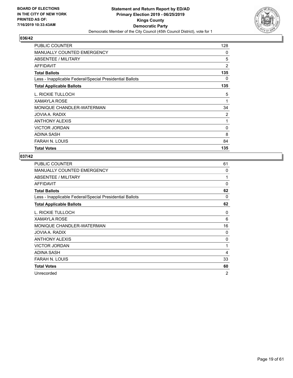

| PUBLIC COUNTER                                           | 128            |
|----------------------------------------------------------|----------------|
| MANUALLY COUNTED EMERGENCY                               | 0              |
| ABSENTEE / MILITARY                                      | 5              |
| AFFIDAVIT                                                | $\overline{2}$ |
| <b>Total Ballots</b>                                     | 135            |
| Less - Inapplicable Federal/Special Presidential Ballots | 0              |
| <b>Total Applicable Ballots</b>                          | 135            |
| L. RICKIE TULLOCH                                        | 5              |
| <b>XAMAYLA ROSE</b>                                      | 1              |
| MONIQUE CHANDLER-WATERMAN                                | 34             |
| JOVIA A. RADIX                                           | 2              |
| <b>ANTHONY ALEXIS</b>                                    | 1              |
| <b>VICTOR JORDAN</b>                                     | $\Omega$       |
| <b>ADINA SASH</b>                                        | 8              |
| <b>FARAH N. LOUIS</b>                                    | 84             |
| <b>Total Votes</b>                                       | 135            |

| PUBLIC COUNTER                                           | 61             |
|----------------------------------------------------------|----------------|
| <b>MANUALLY COUNTED EMERGENCY</b>                        | 0              |
| ABSENTEE / MILITARY                                      | 1              |
| <b>AFFIDAVIT</b>                                         | 0              |
| <b>Total Ballots</b>                                     | 62             |
| Less - Inapplicable Federal/Special Presidential Ballots | 0              |
| <b>Total Applicable Ballots</b>                          | 62             |
| L. RICKIE TULLOCH                                        | $\Omega$       |
| <b>XAMAYLA ROSE</b>                                      | 6              |
| MONIQUE CHANDLER-WATERMAN                                | 16             |
| JOVIA A. RADIX                                           | $\Omega$       |
| <b>ANTHONY ALEXIS</b>                                    | 0              |
| <b>VICTOR JORDAN</b>                                     | 1              |
| ADINA SASH                                               | 4              |
| FARAH N. LOUIS                                           | 33             |
| <b>Total Votes</b>                                       | 60             |
| Unrecorded                                               | $\overline{2}$ |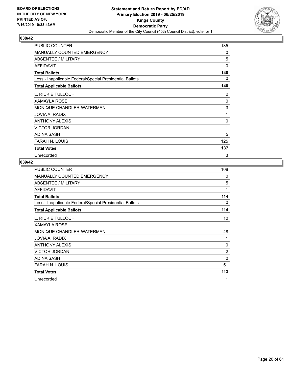

| PUBLIC COUNTER                                           | 135      |
|----------------------------------------------------------|----------|
| <b>MANUALLY COUNTED EMERGENCY</b>                        | 0        |
| <b>ABSENTEE / MILITARY</b>                               | 5        |
| AFFIDAVIT                                                | 0        |
| <b>Total Ballots</b>                                     | 140      |
| Less - Inapplicable Federal/Special Presidential Ballots | 0        |
| <b>Total Applicable Ballots</b>                          | 140      |
| L. RICKIE TULLOCH                                        | 2        |
| <b>XAMAYLA ROSE</b>                                      | $\Omega$ |
| MONIQUE CHANDLER-WATERMAN                                | 3        |
| JOVIA A. RADIX                                           | 1        |
| <b>ANTHONY ALEXIS</b>                                    | $\Omega$ |
| <b>VICTOR JORDAN</b>                                     | 1        |
| <b>ADINA SASH</b>                                        | 5        |
| <b>FARAH N. LOUIS</b>                                    | 125      |
| <b>Total Votes</b>                                       | 137      |
| Unrecorded                                               | 3        |

| <b>PUBLIC COUNTER</b>                                    | 108            |
|----------------------------------------------------------|----------------|
| MANUALLY COUNTED EMERGENCY                               | 0              |
| ABSENTEE / MILITARY                                      | 5              |
| <b>AFFIDAVIT</b>                                         | 1              |
| <b>Total Ballots</b>                                     | 114            |
| Less - Inapplicable Federal/Special Presidential Ballots | 0              |
| <b>Total Applicable Ballots</b>                          | 114            |
| L. RICKIE TULLOCH                                        | 10             |
| <b>XAMAYLA ROSE</b>                                      | 1              |
| MONIQUE CHANDLER-WATERMAN                                | 48             |
| JOVIA A. RADIX                                           | 1              |
| <b>ANTHONY ALEXIS</b>                                    | 0              |
| <b>VICTOR JORDAN</b>                                     | $\overline{2}$ |
| <b>ADINA SASH</b>                                        | 0              |
| FARAH N. LOUIS                                           | 51             |
| <b>Total Votes</b>                                       | 113            |
| Unrecorded                                               | 1              |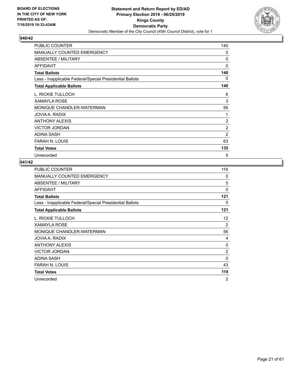

| <b>PUBLIC COUNTER</b>                                    | 140            |
|----------------------------------------------------------|----------------|
| <b>MANUALLY COUNTED EMERGENCY</b>                        | 0              |
| <b>ABSENTEE / MILITARY</b>                               | 0              |
| <b>AFFIDAVIT</b>                                         | $\Omega$       |
| <b>Total Ballots</b>                                     | 140            |
| Less - Inapplicable Federal/Special Presidential Ballots | 0              |
| <b>Total Applicable Ballots</b>                          | 140            |
| L. RICKIE TULLOCH                                        | 6              |
| <b>XAMAYLA ROSE</b>                                      | 3              |
| MONIQUE CHANDLER-WATERMAN                                | 56             |
| JOVIA A. RADIX                                           | 1              |
| <b>ANTHONY ALEXIS</b>                                    | $\overline{2}$ |
| <b>VICTOR JORDAN</b>                                     | $\overline{2}$ |
| <b>ADINA SASH</b>                                        | 2              |
| <b>FARAH N. LOUIS</b>                                    | 63             |
| <b>Total Votes</b>                                       | 135            |
| Unrecorded                                               | 5              |

| <b>PUBLIC COUNTER</b>                                    | 116            |
|----------------------------------------------------------|----------------|
| <b>MANUALLY COUNTED EMERGENCY</b>                        | 0              |
| ABSENTEE / MILITARY                                      | 5              |
| AFFIDAVIT                                                | 0              |
| <b>Total Ballots</b>                                     | 121            |
| Less - Inapplicable Federal/Special Presidential Ballots | 0              |
| <b>Total Applicable Ballots</b>                          | 121            |
| L. RICKIE TULLOCH                                        | 12             |
| <b>XAMAYLA ROSE</b>                                      | 2              |
| MONIQUE CHANDLER-WATERMAN                                | 56             |
| JOVIA A. RADIX                                           | 4              |
| <b>ANTHONY ALEXIS</b>                                    | 0              |
| <b>VICTOR JORDAN</b>                                     | $\overline{c}$ |
| <b>ADINA SASH</b>                                        | 0              |
| FARAH N. LOUIS                                           | 43             |
| <b>Total Votes</b>                                       | 119            |
| Unrecorded                                               | 2              |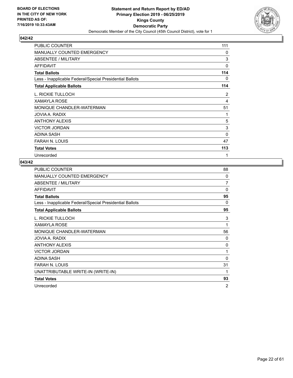

| <b>PUBLIC COUNTER</b>                                    | 111      |
|----------------------------------------------------------|----------|
| MANUALLY COUNTED EMERGENCY                               | $\Omega$ |
| ABSENTEE / MILITARY                                      | 3        |
| <b>AFFIDAVIT</b>                                         | $\Omega$ |
| <b>Total Ballots</b>                                     | 114      |
| Less - Inapplicable Federal/Special Presidential Ballots | 0        |
| <b>Total Applicable Ballots</b>                          | 114      |
| L. RICKIE TULLOCH                                        | 2        |
| <b>XAMAYLA ROSE</b>                                      | 4        |
| MONIQUE CHANDLER-WATERMAN                                | 51       |
| JOVIA A. RADIX                                           | 1        |
| <b>ANTHONY ALEXIS</b>                                    | 5        |
| <b>VICTOR JORDAN</b>                                     | 3        |
| <b>ADINA SASH</b>                                        | 0        |
| FARAH N. LOUIS                                           | 47       |
| <b>Total Votes</b>                                       | 113      |
| Unrecorded                                               | 1        |

| PUBLIC COUNTER                                           | 88 |
|----------------------------------------------------------|----|
| MANUALLY COUNTED EMERGENCY                               | 0  |
| ABSENTEE / MILITARY                                      | 7  |
| <b>AFFIDAVIT</b>                                         | 0  |
| <b>Total Ballots</b>                                     | 95 |
| Less - Inapplicable Federal/Special Presidential Ballots | 0  |
| <b>Total Applicable Ballots</b>                          | 95 |
| L. RICKIE TULLOCH                                        | 3  |
| <b>XAMAYLA ROSE</b>                                      | 1  |
| MONIQUE CHANDLER-WATERMAN                                | 56 |
| JOVIA A. RADIX                                           | 0  |
| <b>ANTHONY ALEXIS</b>                                    | 0  |
| <b>VICTOR JORDAN</b>                                     | 1  |
| <b>ADINA SASH</b>                                        | 0  |
| <b>FARAH N. LOUIS</b>                                    | 31 |
| UNATTRIBUTABLE WRITE-IN (WRITE-IN)                       | 1  |
| <b>Total Votes</b>                                       | 93 |
| Unrecorded                                               | 2  |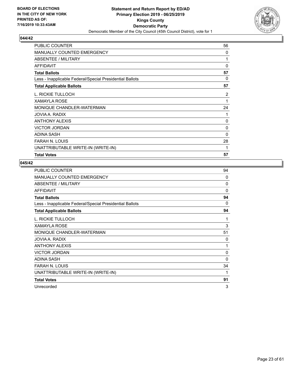

| <b>PUBLIC COUNTER</b>                                    | 56           |
|----------------------------------------------------------|--------------|
| <b>MANUALLY COUNTED EMERGENCY</b>                        | 0            |
| <b>ABSENTEE / MILITARY</b>                               | 1            |
| <b>AFFIDAVIT</b>                                         | $\mathbf{0}$ |
| <b>Total Ballots</b>                                     | 57           |
| Less - Inapplicable Federal/Special Presidential Ballots | 0            |
| <b>Total Applicable Ballots</b>                          | 57           |
| L. RICKIE TULLOCH                                        | 2            |
| XAMAYLA ROSE                                             | 1            |
| MONIQUE CHANDLER-WATERMAN                                | 24           |
| JOVIA A. RADIX                                           | 1            |
| ANTHONY ALEXIS                                           | 0            |
| <b>VICTOR JORDAN</b>                                     | 0            |
| <b>ADINA SASH</b>                                        | $\Omega$     |
| <b>FARAH N. LOUIS</b>                                    | 28           |
| UNATTRIBUTABLE WRITE-IN (WRITE-IN)                       | 1            |
| <b>Total Votes</b>                                       | 57           |

| <b>PUBLIC COUNTER</b>                                    | 94       |
|----------------------------------------------------------|----------|
| <b>MANUALLY COUNTED EMERGENCY</b>                        | $\Omega$ |
| ABSENTEE / MILITARY                                      | 0        |
| <b>AFFIDAVIT</b>                                         | $\Omega$ |
| <b>Total Ballots</b>                                     | 94       |
| Less - Inapplicable Federal/Special Presidential Ballots | 0        |
| <b>Total Applicable Ballots</b>                          | 94       |
| L. RICKIE TULLOCH                                        | 1        |
| <b>XAMAYLA ROSE</b>                                      | 3        |
| MONIQUE CHANDLER-WATERMAN                                | 51       |
| JOVIA A. RADIX                                           | 0        |
| <b>ANTHONY ALEXIS</b>                                    | 1        |
| <b>VICTOR JORDAN</b>                                     | 0        |
| <b>ADINA SASH</b>                                        | $\Omega$ |
| FARAH N. LOUIS                                           | 34       |
| UNATTRIBUTABLE WRITE-IN (WRITE-IN)                       | 1        |
| <b>Total Votes</b>                                       | 91       |
| Unrecorded                                               | 3        |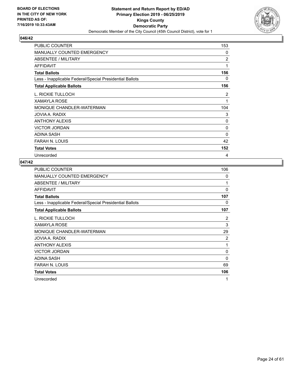

| <b>PUBLIC COUNTER</b>                                    | 153            |
|----------------------------------------------------------|----------------|
| MANUALLY COUNTED EMERGENCY                               | 0              |
| <b>ABSENTEE / MILITARY</b>                               | $\overline{2}$ |
| <b>AFFIDAVIT</b>                                         | 1              |
| <b>Total Ballots</b>                                     | 156            |
| Less - Inapplicable Federal/Special Presidential Ballots | 0              |
| <b>Total Applicable Ballots</b>                          | 156            |
| L. RICKIE TULLOCH                                        | 2              |
| XAMAYLA ROSE                                             | 1              |
| MONIQUE CHANDLER-WATERMAN                                | 104            |
| JOVIA A. RADIX                                           | 3              |
| <b>ANTHONY ALEXIS</b>                                    | 0              |
| <b>VICTOR JORDAN</b>                                     | 0              |
| <b>ADINA SASH</b>                                        | 0              |
| <b>FARAH N. LOUIS</b>                                    | 42             |
| <b>Total Votes</b>                                       | 152            |
| Unrecorded                                               | 4              |

| PUBLIC COUNTER                                           | 106      |
|----------------------------------------------------------|----------|
| <b>MANUALLY COUNTED EMERGENCY</b>                        | 0        |
| ABSENTEE / MILITARY                                      | 1        |
| <b>AFFIDAVIT</b>                                         | $\Omega$ |
| <b>Total Ballots</b>                                     | 107      |
| Less - Inapplicable Federal/Special Presidential Ballots | 0        |
| <b>Total Applicable Ballots</b>                          | 107      |
| L. RICKIE TULLOCH                                        | 2        |
| <b>XAMAYLA ROSE</b>                                      | 3        |
| MONIQUE CHANDLER-WATERMAN                                | 29       |
| JOVIA A. RADIX                                           | 2        |
| <b>ANTHONY ALEXIS</b>                                    | 1        |
| <b>VICTOR JORDAN</b>                                     | 0        |
| <b>ADINA SASH</b>                                        | 0        |
| <b>FARAH N. LOUIS</b>                                    | 69       |
| <b>Total Votes</b>                                       | 106      |
| Unrecorded                                               | 1        |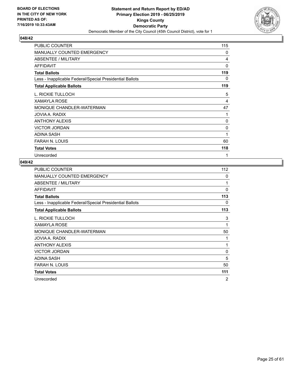

| <b>PUBLIC COUNTER</b>                                    | 115          |
|----------------------------------------------------------|--------------|
| <b>MANUALLY COUNTED EMERGENCY</b>                        | $\mathbf{0}$ |
| <b>ABSENTEE / MILITARY</b>                               | 4            |
| <b>AFFIDAVIT</b>                                         | $\Omega$     |
| <b>Total Ballots</b>                                     | 119          |
| Less - Inapplicable Federal/Special Presidential Ballots | 0            |
| <b>Total Applicable Ballots</b>                          | 119          |
| L. RICKIE TULLOCH                                        | 5            |
| <b>XAMAYLA ROSE</b>                                      | 4            |
| MONIQUE CHANDLER-WATERMAN                                | 47           |
| JOVIA A. RADIX                                           | 1            |
| ANTHONY ALEXIS                                           | 0            |
| <b>VICTOR JORDAN</b>                                     | 0            |
| <b>ADINA SASH</b>                                        | 1            |
| FARAH N. LOUIS                                           | 60           |
| <b>Total Votes</b>                                       | 118          |
| Unrecorded                                               | $\mathbf{1}$ |

| PUBLIC COUNTER                                           | 112 |
|----------------------------------------------------------|-----|
| <b>MANUALLY COUNTED EMERGENCY</b>                        | 0   |
| ABSENTEE / MILITARY                                      | 1   |
| AFFIDAVIT                                                | 0   |
| <b>Total Ballots</b>                                     | 113 |
| Less - Inapplicable Federal/Special Presidential Ballots | 0   |
| <b>Total Applicable Ballots</b>                          | 113 |
| L. RICKIE TULLOCH                                        | 3   |
| <b>XAMAYLA ROSE</b>                                      | 1   |
| MONIQUE CHANDLER-WATERMAN                                | 50  |
| JOVIA A. RADIX                                           | 1   |
| <b>ANTHONY ALEXIS</b>                                    | 1   |
| <b>VICTOR JORDAN</b>                                     | 0   |
| <b>ADINA SASH</b>                                        | 5   |
| <b>FARAH N. LOUIS</b>                                    | 50  |
| <b>Total Votes</b>                                       | 111 |
| Unrecorded                                               | 2   |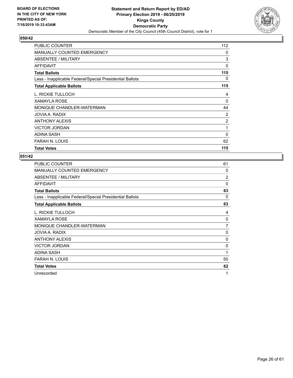

| PUBLIC COUNTER                                           | 112 |
|----------------------------------------------------------|-----|
| <b>MANUALLY COUNTED EMERGENCY</b>                        | 0   |
| <b>ABSENTEE / MILITARY</b>                               | 3   |
| <b>AFFIDAVIT</b>                                         | 0   |
| <b>Total Ballots</b>                                     | 115 |
| Less - Inapplicable Federal/Special Presidential Ballots | 0   |
| <b>Total Applicable Ballots</b>                          | 115 |
| L. RICKIE TULLOCH                                        | 4   |
| <b>XAMAYLA ROSE</b>                                      | 0   |
| MONIQUE CHANDLER-WATERMAN                                | 44  |
| JOVIA A. RADIX                                           | 2   |
| <b>ANTHONY ALEXIS</b>                                    | 2   |
| <b>VICTOR JORDAN</b>                                     | 1   |
| <b>ADINA SASH</b>                                        | 0   |
| <b>FARAH N. LOUIS</b>                                    | 62  |
| <b>Total Votes</b>                                       | 115 |

| PUBLIC COUNTER                                           | 61             |
|----------------------------------------------------------|----------------|
| <b>MANUALLY COUNTED EMERGENCY</b>                        | 0              |
| ABSENTEE / MILITARY                                      | $\overline{2}$ |
| <b>AFFIDAVIT</b>                                         | $\Omega$       |
| <b>Total Ballots</b>                                     | 63             |
| Less - Inapplicable Federal/Special Presidential Ballots | 0              |
| <b>Total Applicable Ballots</b>                          | 63             |
| L. RICKIE TULLOCH                                        | 4              |
| <b>XAMAYLA ROSE</b>                                      | 0              |
| MONIQUE CHANDLER-WATERMAN                                | $\overline{7}$ |
| JOVIA A. RADIX                                           | 0              |
| <b>ANTHONY ALEXIS</b>                                    | 0              |
| <b>VICTOR JORDAN</b>                                     | 0              |
| ADINA SASH                                               | 1              |
| FARAH N. LOUIS                                           | 50             |
| <b>Total Votes</b>                                       | 62             |
| Unrecorded                                               | 1              |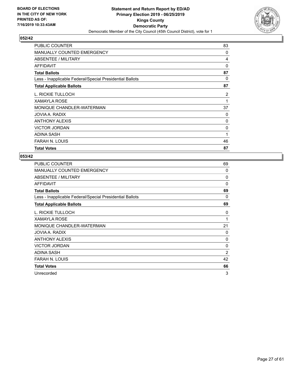

| PUBLIC COUNTER                                           | 83 |
|----------------------------------------------------------|----|
| <b>MANUALLY COUNTED EMERGENCY</b>                        | 0  |
| ABSENTEE / MILITARY                                      | 4  |
| <b>AFFIDAVIT</b>                                         | 0  |
| <b>Total Ballots</b>                                     | 87 |
| Less - Inapplicable Federal/Special Presidential Ballots | 0  |
| <b>Total Applicable Ballots</b>                          | 87 |
| L. RICKIE TULLOCH                                        | 2  |
| <b>XAMAYLA ROSE</b>                                      | 1  |
| MONIQUE CHANDLER-WATERMAN                                | 37 |
| JOVIA A. RADIX                                           | 0  |
| <b>ANTHONY ALEXIS</b>                                    | 0  |
| <b>VICTOR JORDAN</b>                                     | 0  |
| <b>ADINA SASH</b>                                        | 1  |
| <b>FARAH N. LOUIS</b>                                    | 46 |
| <b>Total Votes</b>                                       | 87 |

| <b>PUBLIC COUNTER</b>                                    | 69 |
|----------------------------------------------------------|----|
| MANUALLY COUNTED EMERGENCY                               | 0  |
| ABSENTEE / MILITARY                                      | 0  |
| AFFIDAVIT                                                | 0  |
| <b>Total Ballots</b>                                     | 69 |
| Less - Inapplicable Federal/Special Presidential Ballots | 0  |
| <b>Total Applicable Ballots</b>                          | 69 |
| L. RICKIE TULLOCH                                        | 0  |
| <b>XAMAYLA ROSE</b>                                      | 1  |
| MONIQUE CHANDLER-WATERMAN                                | 21 |
| JOVIA A. RADIX                                           | 0  |
| <b>ANTHONY ALEXIS</b>                                    | 0  |
| <b>VICTOR JORDAN</b>                                     | 0  |
| ADINA SASH                                               | 2  |
| <b>FARAH N. LOUIS</b>                                    | 42 |
| <b>Total Votes</b>                                       | 66 |
| Unrecorded                                               | 3  |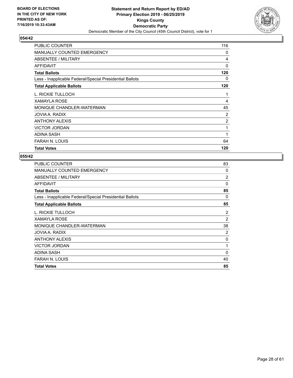

| PUBLIC COUNTER                                           | 116            |
|----------------------------------------------------------|----------------|
| <b>MANUALLY COUNTED EMERGENCY</b>                        | 0              |
| ABSENTEE / MILITARY                                      | 4              |
| <b>AFFIDAVIT</b>                                         | 0              |
| <b>Total Ballots</b>                                     | 120            |
| Less - Inapplicable Federal/Special Presidential Ballots | 0              |
| <b>Total Applicable Ballots</b>                          | 120            |
| L. RICKIE TULLOCH                                        | 1              |
| <b>XAMAYLA ROSE</b>                                      | 4              |
| MONIQUE CHANDLER-WATERMAN                                | 45             |
| JOVIA A. RADIX                                           | 2              |
| <b>ANTHONY ALEXIS</b>                                    | $\overline{2}$ |
| <b>VICTOR JORDAN</b>                                     | 1              |
| <b>ADINA SASH</b>                                        | 1              |
| <b>FARAH N. LOUIS</b>                                    | 64             |
| <b>Total Votes</b>                                       | 120            |

| <b>PUBLIC COUNTER</b>                                    | 83             |
|----------------------------------------------------------|----------------|
| <b>MANUALLY COUNTED EMERGENCY</b>                        | 0              |
| ABSENTEE / MILITARY                                      | 2              |
| <b>AFFIDAVIT</b>                                         | 0              |
| <b>Total Ballots</b>                                     | 85             |
| Less - Inapplicable Federal/Special Presidential Ballots | $\Omega$       |
| <b>Total Applicable Ballots</b>                          | 85             |
| L. RICKIE TULLOCH                                        | 2              |
| <b>XAMAYLA ROSE</b>                                      | $\overline{c}$ |
| MONIQUE CHANDLER-WATERMAN                                | 38             |
| JOVIA A. RADIX                                           | 2              |
| <b>ANTHONY ALEXIS</b>                                    | 0              |
| <b>VICTOR JORDAN</b>                                     | 1              |
| ADINA SASH                                               | $\Omega$       |
| <b>FARAH N. LOUIS</b>                                    | 40             |
| <b>Total Votes</b>                                       | 85             |
|                                                          |                |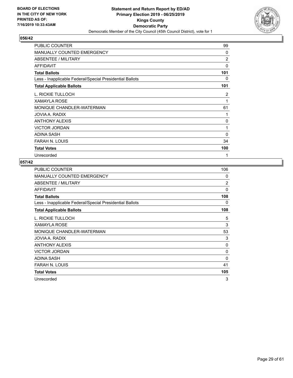

| <b>PUBLIC COUNTER</b>                                    | 99           |
|----------------------------------------------------------|--------------|
| <b>MANUALLY COUNTED EMERGENCY</b>                        | 0            |
| ABSENTEE / MILITARY                                      | 2            |
| <b>AFFIDAVIT</b>                                         | $\mathbf{0}$ |
| <b>Total Ballots</b>                                     | 101          |
| Less - Inapplicable Federal/Special Presidential Ballots | 0            |
| <b>Total Applicable Ballots</b>                          | 101          |
| L. RICKIE TULLOCH                                        | 2            |
| <b>XAMAYLA ROSE</b>                                      | 1            |
| MONIQUE CHANDLER-WATERMAN                                | 61           |
| JOVIA A. RADIX                                           | 1            |
| <b>ANTHONY ALEXIS</b>                                    | 0            |
| <b>VICTOR JORDAN</b>                                     | $\mathbf{1}$ |
| <b>ADINA SASH</b>                                        | 0            |
| <b>FARAH N. LOUIS</b>                                    | 34           |
| <b>Total Votes</b>                                       | 100          |
| Unrecorded                                               | 1            |

| <b>PUBLIC COUNTER</b>                                    | 106      |
|----------------------------------------------------------|----------|
| <b>MANUALLY COUNTED EMERGENCY</b>                        | 0        |
| ABSENTEE / MILITARY                                      | 2        |
| AFFIDAVIT                                                | $\Omega$ |
| <b>Total Ballots</b>                                     | 108      |
| Less - Inapplicable Federal/Special Presidential Ballots | 0        |
| <b>Total Applicable Ballots</b>                          | 108      |
| L. RICKIE TULLOCH                                        | 5        |
| <b>XAMAYLA ROSE</b>                                      | 3        |
| MONIQUE CHANDLER-WATERMAN                                | 53       |
| JOVIA A. RADIX                                           | 3        |
| <b>ANTHONY ALEXIS</b>                                    | 0        |
| <b>VICTOR JORDAN</b>                                     | 0        |
| <b>ADINA SASH</b>                                        | 0        |
| FARAH N. LOUIS                                           | 41       |
| <b>Total Votes</b>                                       | 105      |
| Unrecorded                                               | 3        |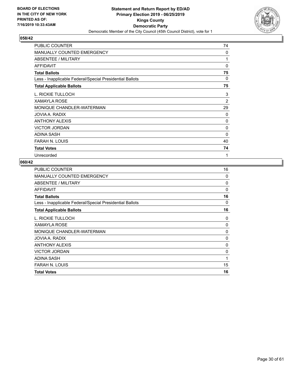

| <b>PUBLIC COUNTER</b>                                    | 74             |
|----------------------------------------------------------|----------------|
| <b>MANUALLY COUNTED EMERGENCY</b>                        | $\Omega$       |
| ABSENTEE / MILITARY                                      | 1              |
| <b>AFFIDAVIT</b>                                         | $\Omega$       |
| <b>Total Ballots</b>                                     | 75             |
| Less - Inapplicable Federal/Special Presidential Ballots | $\Omega$       |
| <b>Total Applicable Ballots</b>                          | 75             |
| L. RICKIE TULLOCH                                        | 3              |
| <b>XAMAYLA ROSE</b>                                      | $\overline{2}$ |
| MONIQUE CHANDLER-WATERMAN                                | 29             |
| JOVIA A. RADIX                                           | 0              |
| <b>ANTHONY ALEXIS</b>                                    | 0              |
| <b>VICTOR JORDAN</b>                                     | 0              |
| <b>ADINA SASH</b>                                        | 0              |
| FARAH N. LOUIS                                           | 40             |
| <b>Total Votes</b>                                       | 74             |
| Unrecorded                                               | 1              |

| <b>PUBLIC COUNTER</b>                                    | 16 |
|----------------------------------------------------------|----|
| <b>MANUALLY COUNTED EMERGENCY</b>                        | 0  |
| <b>ABSENTEE / MILITARY</b>                               | 0  |
| <b>AFFIDAVIT</b>                                         | 0  |
| <b>Total Ballots</b>                                     | 16 |
| Less - Inapplicable Federal/Special Presidential Ballots | 0  |
| <b>Total Applicable Ballots</b>                          | 16 |
| L. RICKIE TULLOCH                                        | 0  |
| <b>XAMAYLA ROSE</b>                                      | 0  |
| MONIQUE CHANDLER-WATERMAN                                | 0  |
| JOVIA A. RADIX                                           | 0  |
| <b>ANTHONY ALEXIS</b>                                    | 0  |
| <b>VICTOR JORDAN</b>                                     | 0  |
| ADINA SASH                                               | 1  |
| <b>FARAH N. LOUIS</b>                                    | 15 |
| <b>Total Votes</b>                                       | 16 |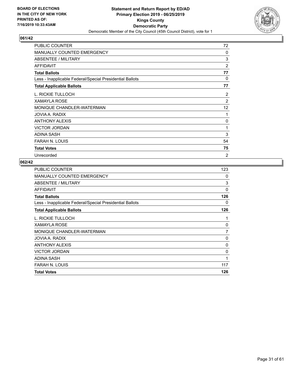

| PUBLIC COUNTER                                           | 72             |
|----------------------------------------------------------|----------------|
| <b>MANUALLY COUNTED EMERGENCY</b>                        | 0              |
| ABSENTEE / MILITARY                                      | 3              |
| AFFIDAVIT                                                | 2              |
| <b>Total Ballots</b>                                     | 77             |
| Less - Inapplicable Federal/Special Presidential Ballots | 0              |
| <b>Total Applicable Ballots</b>                          | 77             |
| L. RICKIE TULLOCH                                        | $\overline{2}$ |
| <b>XAMAYLA ROSE</b>                                      | $\overline{2}$ |
| MONIQUE CHANDLER-WATERMAN                                | 12             |
| JOVIA A. RADIX                                           | 1              |
| <b>ANTHONY ALEXIS</b>                                    | 0              |
| <b>VICTOR JORDAN</b>                                     | 1              |
| <b>ADINA SASH</b>                                        | 3              |
| FARAH N. LOUIS                                           | 54             |
| <b>Total Votes</b>                                       | 75             |
| Unrecorded                                               | $\overline{2}$ |

| <b>PUBLIC COUNTER</b>                                    | 123            |
|----------------------------------------------------------|----------------|
| MANUALLY COUNTED EMERGENCY                               | 0              |
| ABSENTEE / MILITARY                                      | 3              |
| AFFIDAVIT                                                | $\Omega$       |
| <b>Total Ballots</b>                                     | 126            |
| Less - Inapplicable Federal/Special Presidential Ballots | 0              |
| <b>Total Applicable Ballots</b>                          | 126            |
| L. RICKIE TULLOCH                                        | 1              |
| <b>XAMAYLA ROSE</b>                                      | 0              |
| MONIQUE CHANDLER-WATERMAN                                | $\overline{7}$ |
| JOVIA A. RADIX                                           | 0              |
| <b>ANTHONY ALEXIS</b>                                    | 0              |
| <b>VICTOR JORDAN</b>                                     | 0              |
| ADINA SASH                                               | 1              |
| FARAH N. LOUIS                                           | 117            |
| <b>Total Votes</b>                                       | 126            |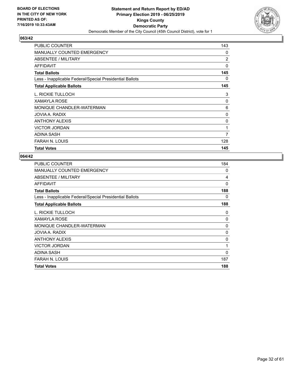

| PUBLIC COUNTER                                           | 143            |
|----------------------------------------------------------|----------------|
| MANUALLY COUNTED EMERGENCY                               | 0              |
| ABSENTEE / MILITARY                                      | $\overline{2}$ |
| <b>AFFIDAVIT</b>                                         | 0              |
| <b>Total Ballots</b>                                     | 145            |
| Less - Inapplicable Federal/Special Presidential Ballots | 0              |
| <b>Total Applicable Ballots</b>                          | 145            |
| L. RICKIE TULLOCH                                        | 3              |
| <b>XAMAYLA ROSE</b>                                      | 0              |
| MONIQUE CHANDLER-WATERMAN                                | 6              |
| JOVIA A. RADIX                                           | 0              |
| <b>ANTHONY ALEXIS</b>                                    | 0              |
| <b>VICTOR JORDAN</b>                                     | 1              |
| <b>ADINA SASH</b>                                        | 7              |
| FARAH N. LOUIS                                           | 128            |
| <b>Total Votes</b>                                       | 145            |

| 184 |
|-----|
| 0   |
| 4   |
| 0   |
| 188 |
| 0   |
| 188 |
| 0   |
| 0   |
| 0   |
| 0   |
| 0   |
| 1   |
| 0   |
| 187 |
| 188 |
|     |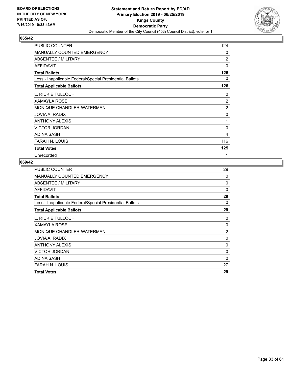

| PUBLIC COUNTER                                           | 124            |
|----------------------------------------------------------|----------------|
| <b>MANUALLY COUNTED EMERGENCY</b>                        | $\Omega$       |
| ABSENTEE / MILITARY                                      | $\overline{2}$ |
| <b>AFFIDAVIT</b>                                         | 0              |
| <b>Total Ballots</b>                                     | 126            |
| Less - Inapplicable Federal/Special Presidential Ballots | 0              |
| <b>Total Applicable Ballots</b>                          | 126            |
| L. RICKIE TULLOCH                                        | 0              |
| <b>XAMAYLA ROSE</b>                                      | $\overline{2}$ |
| MONIQUE CHANDLER-WATERMAN                                | 2              |
| JOVIA A. RADIX                                           | 0              |
| <b>ANTHONY ALEXIS</b>                                    | 1              |
| <b>VICTOR JORDAN</b>                                     | 0              |
| <b>ADINA SASH</b>                                        | 4              |
| FARAH N. LOUIS                                           | 116            |
| <b>Total Votes</b>                                       | 125            |
| Unrecorded                                               | 1              |

| <b>PUBLIC COUNTER</b>                                    | 29 |
|----------------------------------------------------------|----|
| MANUALLY COUNTED EMERGENCY                               | 0  |
| ABSENTEE / MILITARY                                      | 0  |
| <b>AFFIDAVIT</b>                                         | 0  |
| <b>Total Ballots</b>                                     | 29 |
| Less - Inapplicable Federal/Special Presidential Ballots | 0  |
| <b>Total Applicable Ballots</b>                          | 29 |
| L. RICKIE TULLOCH                                        | 0  |
| <b>XAMAYLA ROSE</b>                                      | 0  |
| MONIQUE CHANDLER-WATERMAN                                | 2  |
| JOVIA A. RADIX                                           | 0  |
| <b>ANTHONY ALEXIS</b>                                    | 0  |
| <b>VICTOR JORDAN</b>                                     | 0  |
| ADINA SASH                                               | 0  |
| <b>FARAH N. LOUIS</b>                                    | 27 |
| <b>Total Votes</b>                                       | 29 |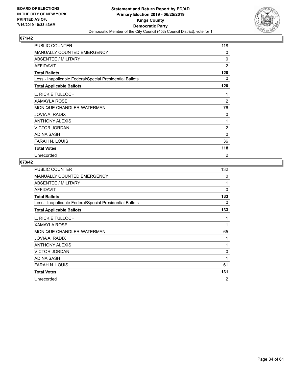

| PUBLIC COUNTER                                           | 118            |
|----------------------------------------------------------|----------------|
| <b>MANUALLY COUNTED EMERGENCY</b>                        | 0              |
| <b>ABSENTEE / MILITARY</b>                               | 0              |
| AFFIDAVIT                                                | 2              |
| <b>Total Ballots</b>                                     | 120            |
| Less - Inapplicable Federal/Special Presidential Ballots | 0              |
| <b>Total Applicable Ballots</b>                          | 120            |
| L. RICKIE TULLOCH                                        | 1              |
| <b>XAMAYLA ROSE</b>                                      | 2              |
| MONIQUE CHANDLER-WATERMAN                                | 76             |
| JOVIA A. RADIX                                           | 0              |
| <b>ANTHONY ALEXIS</b>                                    | 1              |
| <b>VICTOR JORDAN</b>                                     | $\overline{2}$ |
| <b>ADINA SASH</b>                                        | 0              |
| <b>FARAH N. LOUIS</b>                                    | 36             |
| <b>Total Votes</b>                                       | 118            |
| Unrecorded                                               | 2              |

| <b>PUBLIC COUNTER</b>                                    | 132      |
|----------------------------------------------------------|----------|
| <b>MANUALLY COUNTED EMERGENCY</b>                        | 0        |
| ABSENTEE / MILITARY                                      | 1        |
| <b>AFFIDAVIT</b>                                         | $\Omega$ |
| <b>Total Ballots</b>                                     | 133      |
| Less - Inapplicable Federal/Special Presidential Ballots | 0        |
| <b>Total Applicable Ballots</b>                          | 133      |
| L. RICKIE TULLOCH                                        | 1        |
| <b>XAMAYLA ROSE</b>                                      | 1        |
| MONIQUE CHANDLER-WATERMAN                                | 65       |
| JOVIA A. RADIX                                           | 1        |
| <b>ANTHONY ALEXIS</b>                                    | 1        |
| <b>VICTOR JORDAN</b>                                     | 0        |
| <b>ADINA SASH</b>                                        | 1        |
| <b>FARAH N. LOUIS</b>                                    | 61       |
| <b>Total Votes</b>                                       | 131      |
| Unrecorded                                               | 2        |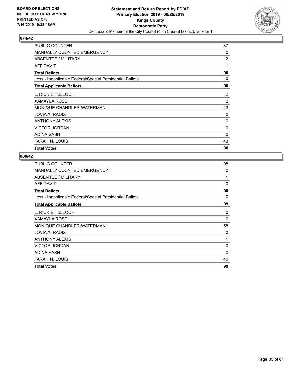

| <b>PUBLIC COUNTER</b>                                    | 87             |
|----------------------------------------------------------|----------------|
| <b>MANUALLY COUNTED EMERGENCY</b>                        | $\Omega$       |
| ABSENTEE / MILITARY                                      | 2              |
| AFFIDAVIT                                                | 1              |
| <b>Total Ballots</b>                                     | 90             |
| Less - Inapplicable Federal/Special Presidential Ballots | 0              |
| <b>Total Applicable Ballots</b>                          | 90             |
| L. RICKIE TULLOCH                                        | $\overline{2}$ |
| XAMAYLA ROSE                                             | $\overline{2}$ |
| MONIQUE CHANDLER-WATERMAN                                | 43             |
| JOVIA A. RADIX                                           | 0              |
| <b>ANTHONY ALEXIS</b>                                    | 0              |
| <b>VICTOR JORDAN</b>                                     | 0              |
| <b>ADINA SASH</b>                                        | 0              |
| <b>FARAH N. LOUIS</b>                                    | 43             |
| <b>Total Votes</b>                                       | 90             |

| <b>PUBLIC COUNTER</b>                                    | 98       |
|----------------------------------------------------------|----------|
| <b>MANUALLY COUNTED EMERGENCY</b>                        | 0        |
| ABSENTEE / MILITARY                                      | 1        |
| <b>AFFIDAVIT</b>                                         | 0        |
| <b>Total Ballots</b>                                     | 99       |
| Less - Inapplicable Federal/Special Presidential Ballots | $\Omega$ |
| <b>Total Applicable Ballots</b>                          | 99       |
| L. RICKIE TULLOCH                                        | 0        |
| XAMAYLA ROSE                                             | 0        |
| MONIQUE CHANDLER-WATERMAN                                | 58       |
| JOVIA A. RADIX                                           | 0        |
| <b>ANTHONY ALEXIS</b>                                    | 1        |
| <b>VICTOR JORDAN</b>                                     | 0        |
| ADINA SASH                                               | $\Omega$ |
| <b>FARAH N. LOUIS</b>                                    | 40       |
| <b>Total Votes</b>                                       | 99       |
|                                                          |          |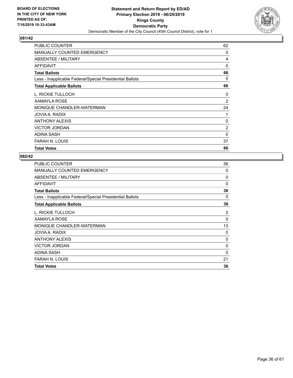

| PUBLIC COUNTER                                           | 62             |
|----------------------------------------------------------|----------------|
| <b>MANUALLY COUNTED EMERGENCY</b>                        | $\Omega$       |
| ABSENTEE / MILITARY                                      | 4              |
| AFFIDAVIT                                                | 0              |
| <b>Total Ballots</b>                                     | 66             |
| Less - Inapplicable Federal/Special Presidential Ballots | 0              |
| <b>Total Applicable Ballots</b>                          | 66             |
| L. RICKIE TULLOCH                                        | 0              |
| XAMAYLA ROSE                                             | $\overline{2}$ |
| MONIQUE CHANDLER-WATERMAN                                | 24             |
| JOVIA A. RADIX                                           | 1              |
| <b>ANTHONY ALEXIS</b>                                    | 0              |
| <b>VICTOR JORDAN</b>                                     | 2              |
| <b>ADINA SASH</b>                                        | 0              |
| <b>FARAH N. LOUIS</b>                                    | 37             |
| <b>Total Votes</b>                                       | 66             |

| <b>PUBLIC COUNTER</b>                                    | 36       |
|----------------------------------------------------------|----------|
| <b>MANUALLY COUNTED EMERGENCY</b>                        | 0        |
| ABSENTEE / MILITARY                                      | 0        |
| <b>AFFIDAVIT</b>                                         | 0        |
| <b>Total Ballots</b>                                     | 36       |
| Less - Inapplicable Federal/Special Presidential Ballots | 0        |
| <b>Total Applicable Ballots</b>                          | 36       |
| L. RICKIE TULLOCH                                        | 2        |
| XAMAYLA ROSE                                             | 0        |
| MONIQUE CHANDLER-WATERMAN                                | 13       |
| JOVIA A. RADIX                                           | 0        |
| <b>ANTHONY ALEXIS</b>                                    | 0        |
| <b>VICTOR JORDAN</b>                                     | 0        |
| ADINA SASH                                               | $\Omega$ |
| <b>FARAH N. LOUIS</b>                                    | 21       |
| <b>Total Votes</b>                                       | 36       |
|                                                          |          |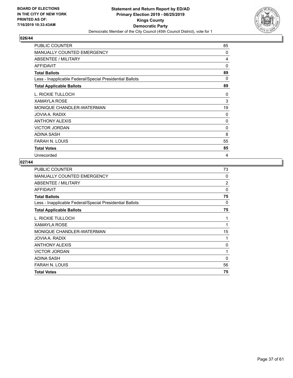

| PUBLIC COUNTER                                           | 85 |
|----------------------------------------------------------|----|
| <b>MANUALLY COUNTED EMERGENCY</b>                        | 0  |
| <b>ABSENTEE / MILITARY</b>                               | 4  |
| <b>AFFIDAVIT</b>                                         | 0  |
| <b>Total Ballots</b>                                     | 89 |
| Less - Inapplicable Federal/Special Presidential Ballots | 0  |
| <b>Total Applicable Ballots</b>                          | 89 |
| L. RICKIE TULLOCH                                        | 0  |
| <b>XAMAYLA ROSE</b>                                      | 3  |
| MONIQUE CHANDLER-WATERMAN                                | 19 |
| JOVIA A. RADIX                                           | 0  |
| <b>ANTHONY ALEXIS</b>                                    | 0  |
| <b>VICTOR JORDAN</b>                                     | 0  |
| ADINA SASH                                               | 8  |
| <b>FARAH N. LOUIS</b>                                    | 55 |
| <b>Total Votes</b>                                       | 85 |
| Unrecorded                                               | 4  |

| <b>PUBLIC COUNTER</b>                                    | 73             |
|----------------------------------------------------------|----------------|
| MANUALLY COUNTED EMERGENCY                               | 0              |
| ABSENTEE / MILITARY                                      | $\overline{2}$ |
| AFFIDAVIT                                                | 0              |
| <b>Total Ballots</b>                                     | 75             |
| Less - Inapplicable Federal/Special Presidential Ballots | 0              |
| <b>Total Applicable Ballots</b>                          | 75             |
| L. RICKIE TULLOCH                                        | 1              |
| <b>XAMAYLA ROSE</b>                                      | 1              |
| MONIQUE CHANDLER-WATERMAN                                | 15             |
| JOVIA A. RADIX                                           | 1              |
| <b>ANTHONY ALEXIS</b>                                    | 0              |
| <b>VICTOR JORDAN</b>                                     | 1              |
| <b>ADINA SASH</b>                                        | 0              |
| <b>FARAH N. LOUIS</b>                                    | 56             |
| <b>Total Votes</b>                                       | 75             |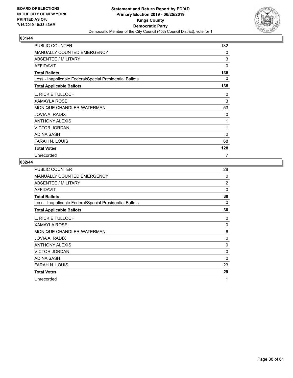

| PUBLIC COUNTER                                           | 132            |
|----------------------------------------------------------|----------------|
| <b>MANUALLY COUNTED EMERGENCY</b>                        | $\mathbf{0}$   |
| <b>ABSENTEE / MILITARY</b>                               | 3              |
| AFFIDAVIT                                                | 0              |
| <b>Total Ballots</b>                                     | 135            |
| Less - Inapplicable Federal/Special Presidential Ballots | 0              |
| <b>Total Applicable Ballots</b>                          | 135            |
| L. RICKIE TULLOCH                                        | 0              |
| <b>XAMAYLA ROSE</b>                                      | 3              |
| MONIQUE CHANDLER-WATERMAN                                | 53             |
| JOVIA A. RADIX                                           | 0              |
| <b>ANTHONY ALEXIS</b>                                    | 1              |
| <b>VICTOR JORDAN</b>                                     | 1              |
| <b>ADINA SASH</b>                                        | $\overline{2}$ |
| <b>FARAH N. LOUIS</b>                                    | 68             |
| <b>Total Votes</b>                                       | 128            |
| Unrecorded                                               | 7              |

| <b>PUBLIC COUNTER</b>                                    | 28             |
|----------------------------------------------------------|----------------|
| <b>MANUALLY COUNTED EMERGENCY</b>                        | 0              |
| ABSENTEE / MILITARY                                      | $\overline{2}$ |
| <b>AFFIDAVIT</b>                                         | $\mathbf{0}$   |
| <b>Total Ballots</b>                                     | 30             |
| Less - Inapplicable Federal/Special Presidential Ballots | 0              |
| <b>Total Applicable Ballots</b>                          | 30             |
| L. RICKIE TULLOCH                                        | 0              |
| <b>XAMAYLA ROSE</b>                                      | 0              |
| MONIQUE CHANDLER-WATERMAN                                | 6              |
| JOVIA A. RADIX                                           | 0              |
| <b>ANTHONY ALEXIS</b>                                    | 0              |
| <b>VICTOR JORDAN</b>                                     | 0              |
| <b>ADINA SASH</b>                                        | $\mathbf{0}$   |
| <b>FARAH N. LOUIS</b>                                    | 23             |
| <b>Total Votes</b>                                       | 29             |
| Unrecorded                                               | 1              |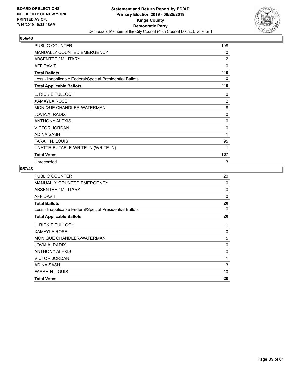

| <b>PUBLIC COUNTER</b>                                    | 108            |
|----------------------------------------------------------|----------------|
| MANUALLY COUNTED EMERGENCY                               | 0              |
| <b>ABSENTEE / MILITARY</b>                               | 2              |
| <b>AFFIDAVIT</b>                                         | $\Omega$       |
| <b>Total Ballots</b>                                     | 110            |
| Less - Inapplicable Federal/Special Presidential Ballots | 0              |
| <b>Total Applicable Ballots</b>                          | 110            |
| L. RICKIE TULLOCH                                        | 0              |
| <b>XAMAYLA ROSE</b>                                      | $\overline{c}$ |
| MONIQUE CHANDLER-WATERMAN                                | 8              |
| JOVIA A. RADIX                                           | $\mathbf{0}$   |
| <b>ANTHONY ALEXIS</b>                                    | 0              |
| <b>VICTOR JORDAN</b>                                     | 0              |
| <b>ADINA SASH</b>                                        | 1              |
| <b>FARAH N. LOUIS</b>                                    | 95             |
| UNATTRIBUTABLE WRITE-IN (WRITE-IN)                       | 1              |
| <b>Total Votes</b>                                       | 107            |
| Unrecorded                                               | 3              |

| <b>PUBLIC COUNTER</b>                                    | 20       |
|----------------------------------------------------------|----------|
| <b>MANUALLY COUNTED EMERGENCY</b>                        | $\Omega$ |
| <b>ABSENTEE / MILITARY</b>                               | 0        |
| AFFIDAVIT                                                | $\Omega$ |
| <b>Total Ballots</b>                                     | 20       |
| Less - Inapplicable Federal/Special Presidential Ballots | 0        |
| <b>Total Applicable Ballots</b>                          | 20       |
| L. RICKIE TULLOCH                                        | 1        |
| <b>XAMAYLA ROSE</b>                                      | 0        |
| MONIQUE CHANDLER-WATERMAN                                | 5        |
| JOVIA A. RADIX                                           | 0        |
| <b>ANTHONY ALEXIS</b>                                    | 0        |
| <b>VICTOR JORDAN</b>                                     | 1        |
| <b>ADINA SASH</b>                                        | 3        |
| <b>FARAH N. LOUIS</b>                                    | 10       |
| <b>Total Votes</b>                                       | 20       |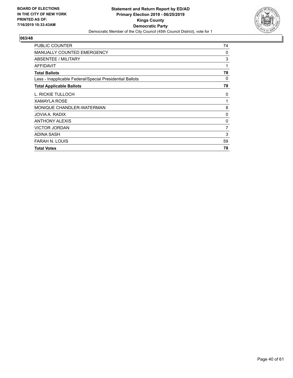

| PUBLIC COUNTER                                           | 74             |
|----------------------------------------------------------|----------------|
| MANUALLY COUNTED EMERGENCY                               | 0              |
| <b>ABSENTEE / MILITARY</b>                               | 3              |
| <b>AFFIDAVIT</b>                                         | 1              |
| <b>Total Ballots</b>                                     | 78             |
| Less - Inapplicable Federal/Special Presidential Ballots | 0              |
| <b>Total Applicable Ballots</b>                          | 78             |
| L. RICKIE TULLOCH                                        | 0              |
| XAMAYLA ROSE                                             | 1              |
| MONIQUE CHANDLER-WATERMAN                                | 8              |
| JOVIA A. RADIX                                           | 0              |
| <b>ANTHONY ALEXIS</b>                                    | 0              |
| <b>VICTOR JORDAN</b>                                     | $\overline{7}$ |
| ADINA SASH                                               | 3              |
| <b>FARAH N. LOUIS</b>                                    | 59             |
| <b>Total Votes</b>                                       | 78             |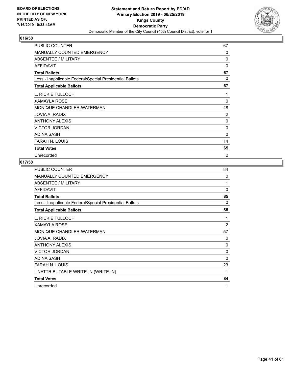

| PUBLIC COUNTER                                           | 67             |
|----------------------------------------------------------|----------------|
| <b>MANUALLY COUNTED EMERGENCY</b>                        | $\Omega$       |
| ABSENTEE / MILITARY                                      | 0              |
| <b>AFFIDAVIT</b>                                         | 0              |
| <b>Total Ballots</b>                                     | 67             |
| Less - Inapplicable Federal/Special Presidential Ballots | 0              |
| <b>Total Applicable Ballots</b>                          | 67             |
| L. RICKIE TULLOCH                                        | 1              |
| <b>XAMAYLA ROSE</b>                                      | $\Omega$       |
| MONIQUE CHANDLER-WATERMAN                                | 48             |
| JOVIA A. RADIX                                           | $\overline{2}$ |
| <b>ANTHONY ALEXIS</b>                                    | 0              |
| <b>VICTOR JORDAN</b>                                     | 0              |
| <b>ADINA SASH</b>                                        | 0              |
| FARAH N. LOUIS                                           | 14             |
| <b>Total Votes</b>                                       | 65             |
| Unrecorded                                               | $\overline{2}$ |

| <b>PUBLIC COUNTER</b>                                    | 84           |
|----------------------------------------------------------|--------------|
| <b>MANUALLY COUNTED EMERGENCY</b>                        | 0            |
| ABSENTEE / MILITARY                                      | 1            |
| <b>AFFIDAVIT</b>                                         | $\mathbf{0}$ |
| <b>Total Ballots</b>                                     | 85           |
| Less - Inapplicable Federal/Special Presidential Ballots | 0            |
| <b>Total Applicable Ballots</b>                          | 85           |
| L. RICKIE TULLOCH                                        | 1            |
| <b>XAMAYLA ROSE</b>                                      | 2            |
| MONIQUE CHANDLER-WATERMAN                                | 57           |
| JOVIA A. RADIX                                           | 0            |
| <b>ANTHONY ALEXIS</b>                                    | 0            |
| <b>VICTOR JORDAN</b>                                     | 0            |
| <b>ADINA SASH</b>                                        | 0            |
| <b>FARAH N. LOUIS</b>                                    | 23           |
| UNATTRIBUTABLE WRITE-IN (WRITE-IN)                       | 1            |
| <b>Total Votes</b>                                       | 84           |
| Unrecorded                                               | 1            |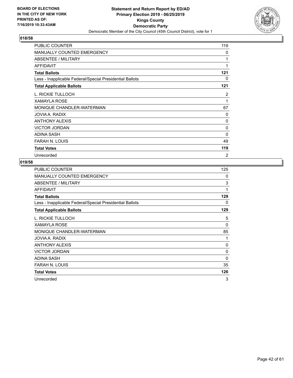

| PUBLIC COUNTER                                           | 119 |
|----------------------------------------------------------|-----|
| <b>MANUALLY COUNTED EMERGENCY</b>                        | 0   |
| <b>ABSENTEE / MILITARY</b>                               | 1   |
| <b>AFFIDAVIT</b>                                         | 1   |
| <b>Total Ballots</b>                                     | 121 |
| Less - Inapplicable Federal/Special Presidential Ballots | 0   |
| <b>Total Applicable Ballots</b>                          | 121 |
| L. RICKIE TULLOCH                                        | 2   |
| <b>XAMAYLA ROSE</b>                                      | 1   |
| MONIQUE CHANDLER-WATERMAN                                | 67  |
| JOVIA A. RADIX                                           | 0   |
| <b>ANTHONY ALEXIS</b>                                    | 0   |
| <b>VICTOR JORDAN</b>                                     | 0   |
| <b>ADINA SASH</b>                                        | 0   |
| <b>FARAH N. LOUIS</b>                                    | 49  |
| <b>Total Votes</b>                                       | 119 |
| Unrecorded                                               | 2   |

| PUBLIC COUNTER                                           | 125 |
|----------------------------------------------------------|-----|
| <b>MANUALLY COUNTED EMERGENCY</b>                        | 0   |
| ABSENTEE / MILITARY                                      | 3   |
| AFFIDAVIT                                                | 1   |
| <b>Total Ballots</b>                                     | 129 |
| Less - Inapplicable Federal/Special Presidential Ballots | 0   |
| <b>Total Applicable Ballots</b>                          | 129 |
| L. RICKIE TULLOCH                                        | 5   |
| <b>XAMAYLA ROSE</b>                                      | 0   |
| MONIQUE CHANDLER-WATERMAN                                | 85  |
| JOVIA A. RADIX                                           | 1   |
| <b>ANTHONY ALEXIS</b>                                    | 0   |
| <b>VICTOR JORDAN</b>                                     | 0   |
| <b>ADINA SASH</b>                                        | 0   |
| <b>FARAH N. LOUIS</b>                                    | 35  |
| <b>Total Votes</b>                                       | 126 |
| Unrecorded                                               | 3   |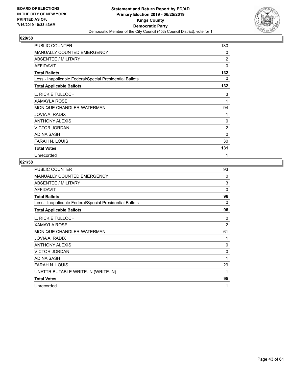

| PUBLIC COUNTER                                           | 130            |
|----------------------------------------------------------|----------------|
| MANUALLY COUNTED EMERGENCY                               | 0              |
| <b>ABSENTEE / MILITARY</b>                               | $\overline{c}$ |
| <b>AFFIDAVIT</b>                                         | 0              |
| <b>Total Ballots</b>                                     | 132            |
| Less - Inapplicable Federal/Special Presidential Ballots | 0              |
| <b>Total Applicable Ballots</b>                          | 132            |
| L. RICKIE TULLOCH                                        | 3              |
| <b>XAMAYLA ROSE</b>                                      | 1              |
| MONIQUE CHANDLER-WATERMAN                                | 94             |
| JOVIA A. RADIX                                           | 1              |
| <b>ANTHONY ALEXIS</b>                                    | 0              |
| <b>VICTOR JORDAN</b>                                     | $\overline{2}$ |
| <b>ADINA SASH</b>                                        | 0              |
| <b>FARAH N. LOUIS</b>                                    | 30             |
| <b>Total Votes</b>                                       | 131            |
| Unrecorded                                               | 1              |

| PUBLIC COUNTER                                           | 93 |
|----------------------------------------------------------|----|
| <b>MANUALLY COUNTED EMERGENCY</b>                        | 0  |
| ABSENTEE / MILITARY                                      | 3  |
| <b>AFFIDAVIT</b>                                         | 0  |
| <b>Total Ballots</b>                                     | 96 |
| Less - Inapplicable Federal/Special Presidential Ballots | 0  |
| <b>Total Applicable Ballots</b>                          | 96 |
| L. RICKIE TULLOCH                                        | 0  |
| <b>XAMAYLA ROSE</b>                                      | 2  |
| MONIQUE CHANDLER-WATERMAN                                | 61 |
| JOVIA A. RADIX                                           | 1  |
| <b>ANTHONY ALEXIS</b>                                    | 0  |
| <b>VICTOR JORDAN</b>                                     | 0  |
| <b>ADINA SASH</b>                                        | 1  |
| <b>FARAH N. LOUIS</b>                                    | 29 |
| UNATTRIBUTABLE WRITE-IN (WRITE-IN)                       | 1  |
| <b>Total Votes</b>                                       | 95 |
| Unrecorded                                               | 1  |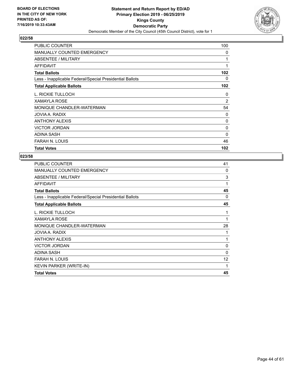

| PUBLIC COUNTER                                           | 100            |
|----------------------------------------------------------|----------------|
| <b>MANUALLY COUNTED EMERGENCY</b>                        | 0              |
| <b>ABSENTEE / MILITARY</b>                               | 1              |
| <b>AFFIDAVIT</b>                                         | 1              |
| <b>Total Ballots</b>                                     | 102            |
| Less - Inapplicable Federal/Special Presidential Ballots | 0              |
| <b>Total Applicable Ballots</b>                          | 102            |
| L. RICKIE TULLOCH                                        | 0              |
| <b>XAMAYLA ROSE</b>                                      | $\overline{2}$ |
| MONIQUE CHANDLER-WATERMAN                                | 54             |
| JOVIA A. RADIX                                           | 0              |
| <b>ANTHONY ALEXIS</b>                                    | $\Omega$       |
| <b>VICTOR JORDAN</b>                                     | 0              |
| <b>ADINA SASH</b>                                        | 0              |
| <b>FARAH N. LOUIS</b>                                    | 46             |
| <b>Total Votes</b>                                       | 102            |

| 41 |
|----|
| 0  |
| 3  |
| 1  |
| 45 |
| 0  |
| 45 |
| 1  |
| 1  |
| 28 |
| 1  |
| 1  |
| 0  |
| 0  |
| 12 |
| 1  |
| 45 |
|    |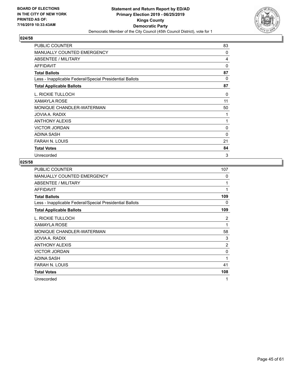

| PUBLIC COUNTER                                           | 83           |
|----------------------------------------------------------|--------------|
| <b>MANUALLY COUNTED EMERGENCY</b>                        | $\Omega$     |
| <b>ABSENTEE / MILITARY</b>                               | 4            |
| <b>AFFIDAVIT</b>                                         | $\Omega$     |
| <b>Total Ballots</b>                                     | 87           |
| Less - Inapplicable Federal/Special Presidential Ballots | 0            |
| <b>Total Applicable Ballots</b>                          | 87           |
| L. RICKIE TULLOCH                                        | 0            |
| <b>XAMAYLA ROSE</b>                                      | 11           |
| MONIQUE CHANDLER-WATERMAN                                | 50           |
| JOVIA A. RADIX                                           | 1            |
| <b>ANTHONY ALEXIS</b>                                    | $\mathbf{1}$ |
| <b>VICTOR JORDAN</b>                                     | 0            |
| ADINA SASH                                               | $\Omega$     |
| <b>FARAH N. LOUIS</b>                                    | 21           |
| <b>Total Votes</b>                                       | 84           |
| Unrecorded                                               | 3            |

| PUBLIC COUNTER                                           | 107 |
|----------------------------------------------------------|-----|
| <b>MANUALLY COUNTED EMERGENCY</b>                        | 0   |
| ABSENTEE / MILITARY                                      | 1   |
| AFFIDAVIT                                                | 1   |
| <b>Total Ballots</b>                                     | 109 |
| Less - Inapplicable Federal/Special Presidential Ballots | 0   |
| <b>Total Applicable Ballots</b>                          | 109 |
| L. RICKIE TULLOCH                                        | 2   |
| <b>XAMAYLA ROSE</b>                                      | 1   |
| MONIQUE CHANDLER-WATERMAN                                | 58  |
| JOVIA A. RADIX                                           | 3   |
| <b>ANTHONY ALEXIS</b>                                    | 2   |
| <b>VICTOR JORDAN</b>                                     | 0   |
| <b>ADINA SASH</b>                                        | 1   |
| FARAH N. LOUIS                                           | 41  |
| <b>Total Votes</b>                                       | 108 |
| Unrecorded                                               | 1   |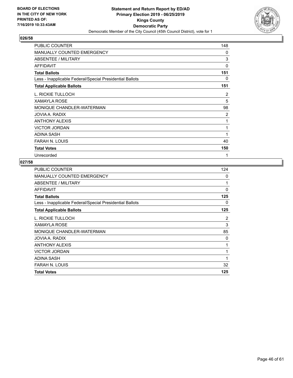

| PUBLIC COUNTER                                           | 148      |
|----------------------------------------------------------|----------|
| <b>MANUALLY COUNTED EMERGENCY</b>                        | 0        |
| <b>ABSENTEE / MILITARY</b>                               | 3        |
| <b>AFFIDAVIT</b>                                         | $\Omega$ |
| <b>Total Ballots</b>                                     | 151      |
| Less - Inapplicable Federal/Special Presidential Ballots | 0        |
| <b>Total Applicable Ballots</b>                          | 151      |
| L. RICKIE TULLOCH                                        | 2        |
| <b>XAMAYLA ROSE</b>                                      | 5        |
| MONIQUE CHANDLER-WATERMAN                                | 98       |
| JOVIA A. RADIX                                           | 2        |
| ANTHONY ALEXIS                                           | 1        |
| <b>VICTOR JORDAN</b>                                     | 1        |
| ADINA SASH                                               | 1        |
| <b>FARAH N. LOUIS</b>                                    | 40       |
| <b>Total Votes</b>                                       | 150      |
| Unrecorded                                               | 1        |

| PUBLIC COUNTER                                           | 124      |
|----------------------------------------------------------|----------|
| MANUALLY COUNTED EMERGENCY                               | 0        |
| ABSENTEE / MILITARY                                      | 1        |
| <b>AFFIDAVIT</b>                                         | $\Omega$ |
| <b>Total Ballots</b>                                     | 125      |
| Less - Inapplicable Federal/Special Presidential Ballots | 0        |
| <b>Total Applicable Ballots</b>                          | 125      |
| L. RICKIE TULLOCH                                        | 2        |
| <b>XAMAYLA ROSE</b>                                      | 3        |
| MONIQUE CHANDLER-WATERMAN                                | 85       |
| JOVIA A. RADIX                                           | 0        |
| <b>ANTHONY ALEXIS</b>                                    | 1        |
| <b>VICTOR JORDAN</b>                                     | 1        |
| ADINA SASH                                               | 1        |
| <b>FARAH N. LOUIS</b>                                    | 32       |
| <b>Total Votes</b>                                       | 125      |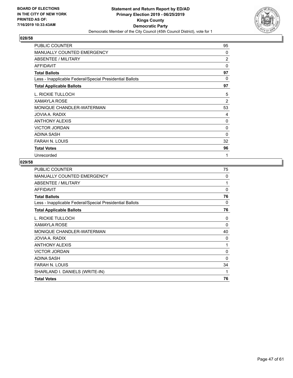

| PUBLIC COUNTER                                           | 95             |
|----------------------------------------------------------|----------------|
| <b>MANUALLY COUNTED EMERGENCY</b>                        | 0              |
| <b>ABSENTEE / MILITARY</b>                               | 2              |
| <b>AFFIDAVIT</b>                                         | $\mathbf{0}$   |
| <b>Total Ballots</b>                                     | 97             |
| Less - Inapplicable Federal/Special Presidential Ballots | 0              |
| <b>Total Applicable Ballots</b>                          | 97             |
| L. RICKIE TULLOCH                                        | 5              |
| <b>XAMAYLA ROSE</b>                                      | $\overline{2}$ |
| MONIQUE CHANDLER-WATERMAN                                | 53             |
| JOVIA A. RADIX                                           | 4              |
| <b>ANTHONY ALEXIS</b>                                    | 0              |
| <b>VICTOR JORDAN</b>                                     | 0              |
| <b>ADINA SASH</b>                                        | 0              |
| <b>FARAH N. LOUIS</b>                                    | 32             |
| <b>Total Votes</b>                                       | 96             |
| Unrecorded                                               | 1              |

| PUBLIC COUNTER                                           | 75       |
|----------------------------------------------------------|----------|
| <b>MANUALLY COUNTED EMERGENCY</b>                        | 0        |
| ABSENTEE / MILITARY                                      | 1        |
| AFFIDAVIT                                                | 0        |
| <b>Total Ballots</b>                                     | 76       |
| Less - Inapplicable Federal/Special Presidential Ballots | 0        |
| <b>Total Applicable Ballots</b>                          | 76       |
| L. RICKIE TULLOCH                                        | 0        |
| <b>XAMAYLA ROSE</b>                                      | 0        |
| MONIQUE CHANDLER-WATERMAN                                | 40       |
| JOVIA A. RADIX                                           | 0        |
| <b>ANTHONY ALEXIS</b>                                    | 1        |
| <b>VICTOR JORDAN</b>                                     | 0        |
| ADINA SASH                                               | $\Omega$ |
| <b>FARAH N. LOUIS</b>                                    | 34       |
| SHARLAND I. DANIELS (WRITE-IN)                           | 1        |
| <b>Total Votes</b>                                       | 76       |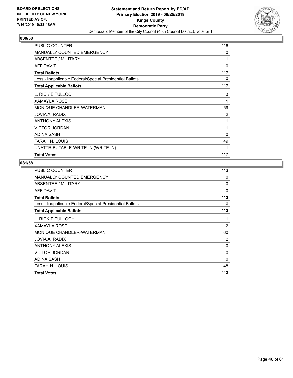

| PUBLIC COUNTER                                           | 116          |
|----------------------------------------------------------|--------------|
| <b>MANUALLY COUNTED EMERGENCY</b>                        | 0            |
| <b>ABSENTEE / MILITARY</b>                               | 1            |
| <b>AFFIDAVIT</b>                                         | $\mathbf{0}$ |
| <b>Total Ballots</b>                                     | 117          |
| Less - Inapplicable Federal/Special Presidential Ballots | 0            |
| <b>Total Applicable Ballots</b>                          | 117          |
| L. RICKIE TULLOCH                                        | 3            |
| XAMAYLA ROSE                                             | 1            |
| MONIQUE CHANDLER-WATERMAN                                | 59           |
| JOVIA A. RADIX                                           | 2            |
| <b>ANTHONY ALEXIS</b>                                    | 1            |
| <b>VICTOR JORDAN</b>                                     | 1            |
| ADINA SASH                                               | 0            |
| <b>FARAH N. LOUIS</b>                                    | 49           |
| UNATTRIBUTABLE WRITE-IN (WRITE-IN)                       | 1            |
| <b>Total Votes</b>                                       | 117          |

| <b>PUBLIC COUNTER</b>                                    | 113            |
|----------------------------------------------------------|----------------|
| <b>MANUALLY COUNTED EMERGENCY</b>                        | 0              |
| ABSENTEE / MILITARY                                      | 0              |
| <b>AFFIDAVIT</b>                                         | 0              |
| <b>Total Ballots</b>                                     | 113            |
| Less - Inapplicable Federal/Special Presidential Ballots | 0              |
| <b>Total Applicable Ballots</b>                          | 113            |
| L. RICKIE TULLOCH                                        | 1              |
| <b>XAMAYLA ROSE</b>                                      | $\overline{2}$ |
| MONIQUE CHANDLER-WATERMAN                                | 60             |
| JOVIA A. RADIX                                           | 2              |
| <b>ANTHONY ALEXIS</b>                                    | 0              |
| <b>VICTOR JORDAN</b>                                     | 0              |
| ADINA SASH                                               | $\Omega$       |
| <b>FARAH N. LOUIS</b>                                    | 48             |
| <b>Total Votes</b>                                       | 113            |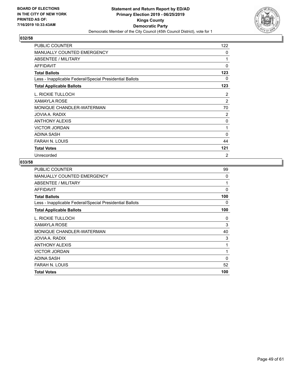

| PUBLIC COUNTER                                           | 122          |
|----------------------------------------------------------|--------------|
| MANUALLY COUNTED EMERGENCY                               | $\mathbf{0}$ |
| <b>ABSENTEE / MILITARY</b>                               | 1            |
| <b>AFFIDAVIT</b>                                         | $\Omega$     |
| <b>Total Ballots</b>                                     | 123          |
| Less - Inapplicable Federal/Special Presidential Ballots | 0            |
| <b>Total Applicable Ballots</b>                          | 123          |
| L. RICKIE TULLOCH                                        | 2            |
| <b>XAMAYLA ROSE</b>                                      | 2            |
| MONIQUE CHANDLER-WATERMAN                                | 70           |
| JOVIA A. RADIX                                           | 2            |
| ANTHONY ALEXIS                                           | 0            |
| <b>VICTOR JORDAN</b>                                     | 1            |
| <b>ADINA SASH</b>                                        | 0            |
| FARAH N. LOUIS                                           | 44           |
| <b>Total Votes</b>                                       | 121          |
| Unrecorded                                               | 2            |

| <b>PUBLIC COUNTER</b>                                    | 99       |
|----------------------------------------------------------|----------|
| <b>MANUALLY COUNTED EMERGENCY</b>                        | 0        |
| ABSENTEE / MILITARY                                      | 1        |
| AFFIDAVIT                                                | 0        |
| <b>Total Ballots</b>                                     | 100      |
| Less - Inapplicable Federal/Special Presidential Ballots | 0        |
| <b>Total Applicable Ballots</b>                          | 100      |
| L. RICKIE TULLOCH                                        | 0        |
| <b>XAMAYLA ROSE</b>                                      | 3        |
| MONIQUE CHANDLER-WATERMAN                                | 40       |
| JOVIA A. RADIX                                           | 3        |
| <b>ANTHONY ALEXIS</b>                                    | 1        |
| <b>VICTOR JORDAN</b>                                     | 1        |
| <b>ADINA SASH</b>                                        | $\Omega$ |
| <b>FARAH N. LOUIS</b>                                    | 52       |
| <b>Total Votes</b>                                       | 100      |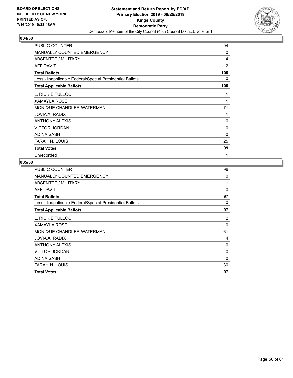

| PUBLIC COUNTER                                           | 94       |
|----------------------------------------------------------|----------|
| MANUALLY COUNTED EMERGENCY                               | $\Omega$ |
| <b>ABSENTEE / MILITARY</b>                               | 4        |
| <b>AFFIDAVIT</b>                                         | 2        |
| <b>Total Ballots</b>                                     | 100      |
| Less - Inapplicable Federal/Special Presidential Ballots | 0        |
| <b>Total Applicable Ballots</b>                          | 100      |
| L. RICKIE TULLOCH                                        | 1        |
| <b>XAMAYLA ROSE</b>                                      | 1        |
| MONIQUE CHANDLER-WATERMAN                                | 71       |
| JOVIA A. RADIX                                           | 1        |
| ANTHONY ALEXIS                                           | 0        |
| <b>VICTOR JORDAN</b>                                     | 0        |
| <b>ADINA SASH</b>                                        | 0        |
| FARAH N. LOUIS                                           | 25       |
| <b>Total Votes</b>                                       | 99       |
| Unrecorded                                               | 1        |

| <b>PUBLIC COUNTER</b>                                    | 96       |
|----------------------------------------------------------|----------|
| <b>MANUALLY COUNTED EMERGENCY</b>                        | 0        |
| ABSENTEE / MILITARY                                      | 1        |
| AFFIDAVIT                                                | 0        |
| <b>Total Ballots</b>                                     | 97       |
| Less - Inapplicable Federal/Special Presidential Ballots | 0        |
| <b>Total Applicable Ballots</b>                          | 97       |
| L. RICKIE TULLOCH                                        | 2        |
| <b>XAMAYLA ROSE</b>                                      | 0        |
| MONIQUE CHANDLER-WATERMAN                                | 61       |
| JOVIA A. RADIX                                           | 4        |
| <b>ANTHONY ALEXIS</b>                                    | 0        |
| <b>VICTOR JORDAN</b>                                     | 0        |
| <b>ADINA SASH</b>                                        | $\Omega$ |
| <b>FARAH N. LOUIS</b>                                    | 30       |
| <b>Total Votes</b>                                       | 97       |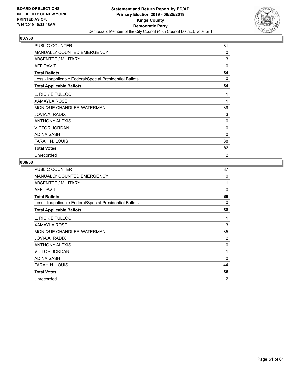

| PUBLIC COUNTER                                           | 81       |
|----------------------------------------------------------|----------|
| MANUALLY COUNTED EMERGENCY                               | 0        |
| ABSENTEE / MILITARY                                      | 3        |
| <b>AFFIDAVIT</b>                                         | 0        |
| <b>Total Ballots</b>                                     | 84       |
| Less - Inapplicable Federal/Special Presidential Ballots | 0        |
| <b>Total Applicable Ballots</b>                          | 84       |
| L. RICKIE TULLOCH                                        | 1        |
| <b>XAMAYLA ROSE</b>                                      | 1        |
| MONIQUE CHANDLER-WATERMAN                                | 39       |
| JOVIA A. RADIX                                           | 3        |
| <b>ANTHONY ALEXIS</b>                                    | 0        |
| <b>VICTOR JORDAN</b>                                     | 0        |
| <b>ADINA SASH</b>                                        | $\Omega$ |
| FARAH N. LOUIS                                           | 38       |
| <b>Total Votes</b>                                       | 82       |
| Unrecorded                                               | 2        |

| <b>PUBLIC COUNTER</b>                                    | 87             |
|----------------------------------------------------------|----------------|
| <b>MANUALLY COUNTED EMERGENCY</b>                        | 0              |
| ABSENTEE / MILITARY                                      | 1              |
| <b>AFFIDAVIT</b>                                         | $\mathbf{0}$   |
| <b>Total Ballots</b>                                     | 88             |
| Less - Inapplicable Federal/Special Presidential Ballots | 0              |
| <b>Total Applicable Ballots</b>                          | 88             |
| L. RICKIE TULLOCH                                        | 1              |
| <b>XAMAYLA ROSE</b>                                      | 3              |
| MONIQUE CHANDLER-WATERMAN                                | 35             |
| JOVIA A. RADIX                                           | 2              |
| <b>ANTHONY ALEXIS</b>                                    | 0              |
| <b>VICTOR JORDAN</b>                                     | 1              |
| <b>ADINA SASH</b>                                        | 0              |
| <b>FARAH N. LOUIS</b>                                    | 44             |
| <b>Total Votes</b>                                       | 86             |
| Unrecorded                                               | $\overline{2}$ |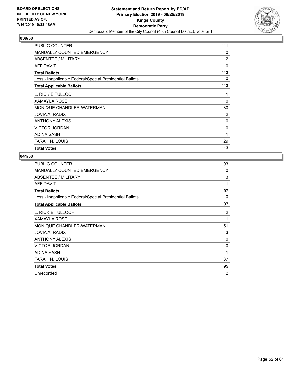

| PUBLIC COUNTER                                           | 111            |
|----------------------------------------------------------|----------------|
| <b>MANUALLY COUNTED EMERGENCY</b>                        | 0              |
| <b>ABSENTEE / MILITARY</b>                               | $\overline{2}$ |
| <b>AFFIDAVIT</b>                                         | 0              |
| <b>Total Ballots</b>                                     | 113            |
| Less - Inapplicable Federal/Special Presidential Ballots | 0              |
| <b>Total Applicable Ballots</b>                          | 113            |
| L. RICKIE TULLOCH                                        | 1              |
| <b>XAMAYLA ROSE</b>                                      | 0              |
| MONIQUE CHANDLER-WATERMAN                                | 80             |
| JOVIA A. RADIX                                           | 2              |
| <b>ANTHONY ALEXIS</b>                                    | 0              |
| <b>VICTOR JORDAN</b>                                     | 0              |
| <b>ADINA SASH</b>                                        | 1              |
| <b>FARAH N. LOUIS</b>                                    | 29             |
| <b>Total Votes</b>                                       | 113            |

| PUBLIC COUNTER                                           | 93             |
|----------------------------------------------------------|----------------|
| <b>MANUALLY COUNTED EMERGENCY</b>                        | 0              |
| <b>ABSENTEE / MILITARY</b>                               | 3              |
| <b>AFFIDAVIT</b>                                         | 1              |
| <b>Total Ballots</b>                                     | 97             |
| Less - Inapplicable Federal/Special Presidential Ballots | 0              |
| <b>Total Applicable Ballots</b>                          | 97             |
| L. RICKIE TULLOCH                                        | 2              |
| <b>XAMAYLA ROSE</b>                                      | 1              |
| MONIQUE CHANDLER-WATERMAN                                | 51             |
| JOVIA A. RADIX                                           | 3              |
| <b>ANTHONY ALEXIS</b>                                    | 0              |
| <b>VICTOR JORDAN</b>                                     | 0              |
| ADINA SASH                                               | 1              |
| FARAH N. LOUIS                                           | 37             |
| <b>Total Votes</b>                                       | 95             |
| Unrecorded                                               | $\overline{2}$ |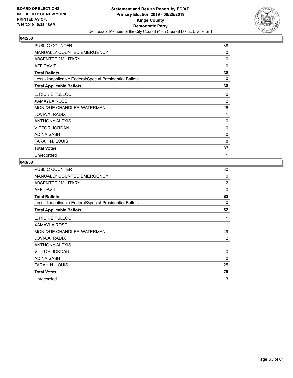

| PUBLIC COUNTER                                           | 38             |
|----------------------------------------------------------|----------------|
| <b>MANUALLY COUNTED EMERGENCY</b>                        | 0              |
| ABSENTEE / MILITARY                                      | 0              |
| AFFIDAVIT                                                | 0              |
| <b>Total Ballots</b>                                     | 38             |
| Less - Inapplicable Federal/Special Presidential Ballots | 0              |
| <b>Total Applicable Ballots</b>                          | 38             |
| L. RICKIE TULLOCH                                        | 0              |
| <b>XAMAYLA ROSE</b>                                      | $\overline{2}$ |
| MONIQUE CHANDLER-WATERMAN                                | 26             |
| JOVIA A. RADIX                                           | 1              |
| <b>ANTHONY ALEXIS</b>                                    | 0              |
| <b>VICTOR JORDAN</b>                                     | 0              |
| <b>ADINA SASH</b>                                        | 0              |
| <b>FARAH N. LOUIS</b>                                    | 8              |
| <b>Total Votes</b>                                       | 37             |
| Unrecorded                                               | 1              |

| <b>PUBLIC COUNTER</b>                                    | 80       |
|----------------------------------------------------------|----------|
| MANUALLY COUNTED EMERGENCY                               | 0        |
| ABSENTEE / MILITARY                                      | 2        |
| AFFIDAVIT                                                | $\Omega$ |
| <b>Total Ballots</b>                                     | 82       |
| Less - Inapplicable Federal/Special Presidential Ballots | 0        |
| <b>Total Applicable Ballots</b>                          | 82       |
| L. RICKIE TULLOCH                                        | 1        |
| <b>XAMAYLA ROSE</b>                                      | 1        |
| MONIQUE CHANDLER-WATERMAN                                | 49       |
| JOVIA A. RADIX                                           | 2        |
| <b>ANTHONY ALEXIS</b>                                    | 1        |
| <b>VICTOR JORDAN</b>                                     | 0        |
| ADINA SASH                                               | 0        |
| <b>FARAH N. LOUIS</b>                                    | 25       |
| <b>Total Votes</b>                                       | 79       |
| Unrecorded                                               | 3        |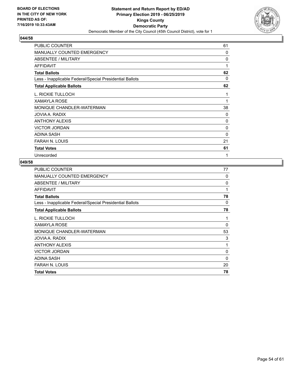

| PUBLIC COUNTER                                           | 61 |
|----------------------------------------------------------|----|
| <b>MANUALLY COUNTED EMERGENCY</b>                        | 0  |
| <b>ABSENTEE / MILITARY</b>                               | 0  |
| <b>AFFIDAVIT</b>                                         | 1  |
| <b>Total Ballots</b>                                     | 62 |
| Less - Inapplicable Federal/Special Presidential Ballots | 0  |
| <b>Total Applicable Ballots</b>                          | 62 |
| L. RICKIE TULLOCH                                        | 1  |
| <b>XAMAYLA ROSE</b>                                      | 1  |
| MONIQUE CHANDLER-WATERMAN                                | 38 |
| JOVIA A. RADIX                                           | 0  |
| <b>ANTHONY ALEXIS</b>                                    | 0  |
| <b>VICTOR JORDAN</b>                                     | 0  |
| <b>ADINA SASH</b>                                        | 0  |
| <b>FARAH N. LOUIS</b>                                    | 21 |
| <b>Total Votes</b>                                       | 61 |
| Unrecorded                                               | 1  |

| <b>PUBLIC COUNTER</b>                                    | 77          |
|----------------------------------------------------------|-------------|
| MANUALLY COUNTED EMERGENCY                               | 0           |
| ABSENTEE / MILITARY                                      | 0           |
| <b>AFFIDAVIT</b>                                         | 1           |
| <b>Total Ballots</b>                                     | 78          |
| Less - Inapplicable Federal/Special Presidential Ballots | 0           |
| <b>Total Applicable Ballots</b>                          | 78          |
| L. RICKIE TULLOCH                                        | 1           |
| <b>XAMAYLA ROSE</b>                                      | $\Omega$    |
| MONIQUE CHANDLER-WATERMAN                                | 53          |
| JOVIA A. RADIX                                           | 3           |
| <b>ANTHONY ALEXIS</b>                                    | 1           |
| <b>VICTOR JORDAN</b>                                     | $\mathbf 0$ |
| ADINA SASH                                               | $\Omega$    |
| FARAH N. LOUIS                                           | 20          |
| <b>Total Votes</b>                                       | 78          |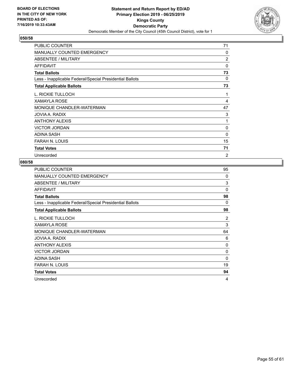

| PUBLIC COUNTER                                           | 71             |
|----------------------------------------------------------|----------------|
| <b>MANUALLY COUNTED EMERGENCY</b>                        | 0              |
| ABSENTEE / MILITARY                                      | $\overline{2}$ |
| AFFIDAVIT                                                | 0              |
| <b>Total Ballots</b>                                     | 73             |
| Less - Inapplicable Federal/Special Presidential Ballots | 0              |
| <b>Total Applicable Ballots</b>                          | 73             |
| L. RICKIE TULLOCH                                        | 1              |
| <b>XAMAYLA ROSE</b>                                      | 4              |
| MONIQUE CHANDLER-WATERMAN                                | 47             |
| JOVIA A. RADIX                                           | 3              |
| <b>ANTHONY ALEXIS</b>                                    | 1              |
| <b>VICTOR JORDAN</b>                                     | 0              |
| <b>ADINA SASH</b>                                        | 0              |
| <b>FARAH N. LOUIS</b>                                    | 15             |
| <b>Total Votes</b>                                       | 71             |
| Unrecorded                                               | 2              |

| <b>PUBLIC COUNTER</b>                                    | 95       |
|----------------------------------------------------------|----------|
| <b>MANUALLY COUNTED EMERGENCY</b>                        | 0        |
| ABSENTEE / MILITARY                                      | 3        |
| AFFIDAVIT                                                | $\Omega$ |
| <b>Total Ballots</b>                                     | 98       |
| Less - Inapplicable Federal/Special Presidential Ballots | 0        |
| <b>Total Applicable Ballots</b>                          | 98       |
| L. RICKIE TULLOCH                                        | 2        |
| <b>XAMAYLA ROSE</b>                                      | 3        |
| MONIQUE CHANDLER-WATERMAN                                | 64       |
| JOVIA A. RADIX                                           | 6        |
| <b>ANTHONY ALEXIS</b>                                    | 0        |
| <b>VICTOR JORDAN</b>                                     | 0        |
| ADINA SASH                                               | 0        |
| FARAH N. LOUIS                                           | 19       |
| <b>Total Votes</b>                                       | 94       |
| Unrecorded                                               | 4        |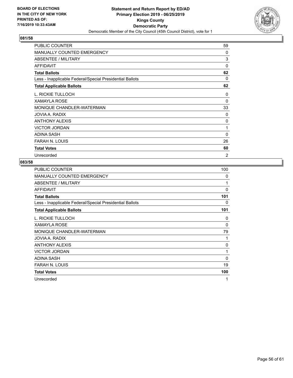

| <b>PUBLIC COUNTER</b>                                    | 59             |
|----------------------------------------------------------|----------------|
| <b>MANUALLY COUNTED EMERGENCY</b>                        | 0              |
| <b>ABSENTEE / MILITARY</b>                               | 3              |
| AFFIDAVIT                                                | 0              |
| <b>Total Ballots</b>                                     | 62             |
| Less - Inapplicable Federal/Special Presidential Ballots | 0              |
| <b>Total Applicable Ballots</b>                          | 62             |
| L. RICKIE TULLOCH                                        | 0              |
| XAMAYLA ROSE                                             | 0              |
| MONIQUE CHANDLER-WATERMAN                                | 33             |
| JOVIA A. RADIX                                           | 0              |
| <b>ANTHONY ALEXIS</b>                                    | 0              |
| <b>VICTOR JORDAN</b>                                     | 1              |
| ADINA SASH                                               | 0              |
| <b>FARAH N. LOUIS</b>                                    | 26             |
| <b>Total Votes</b>                                       | 60             |
| Unrecorded                                               | $\overline{2}$ |

| PUBLIC COUNTER                                           | 100      |
|----------------------------------------------------------|----------|
| <b>MANUALLY COUNTED EMERGENCY</b>                        | 0        |
| ABSENTEE / MILITARY                                      | 1        |
| <b>AFFIDAVIT</b>                                         | $\Omega$ |
| <b>Total Ballots</b>                                     | 101      |
| Less - Inapplicable Federal/Special Presidential Ballots | 0        |
| <b>Total Applicable Ballots</b>                          | 101      |
| L. RICKIE TULLOCH                                        | 0        |
| <b>XAMAYLA ROSE</b>                                      | 0        |
| MONIQUE CHANDLER-WATERMAN                                | 79       |
| JOVIA A. RADIX                                           | 1        |
| <b>ANTHONY ALEXIS</b>                                    | 0        |
| <b>VICTOR JORDAN</b>                                     | 1        |
| <b>ADINA SASH</b>                                        | 0        |
| <b>FARAH N. LOUIS</b>                                    | 19       |
| <b>Total Votes</b>                                       | 100      |
| Unrecorded                                               | 1        |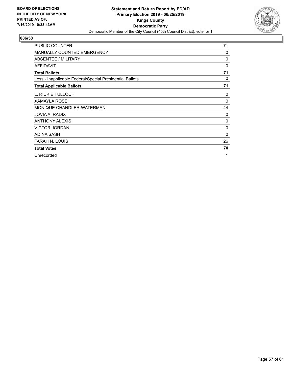

| <b>PUBLIC COUNTER</b>                                    | 71       |
|----------------------------------------------------------|----------|
| <b>MANUALLY COUNTED EMERGENCY</b>                        | 0        |
| ABSENTEE / MILITARY                                      | 0        |
| <b>AFFIDAVIT</b>                                         | 0        |
| <b>Total Ballots</b>                                     | 71       |
| Less - Inapplicable Federal/Special Presidential Ballots | 0        |
| <b>Total Applicable Ballots</b>                          | 71       |
| L. RICKIE TULLOCH                                        | 0        |
| <b>XAMAYLA ROSE</b>                                      | $\Omega$ |
| MONIQUE CHANDLER-WATERMAN                                | 44       |
| JOVIA A. RADIX                                           | 0        |
| <b>ANTHONY ALEXIS</b>                                    | 0        |
| <b>VICTOR JORDAN</b>                                     | 0        |
| ADINA SASH                                               | $\Omega$ |
| <b>FARAH N. LOUIS</b>                                    | 26       |
| <b>Total Votes</b>                                       | 70       |
| Unrecorded                                               | 1        |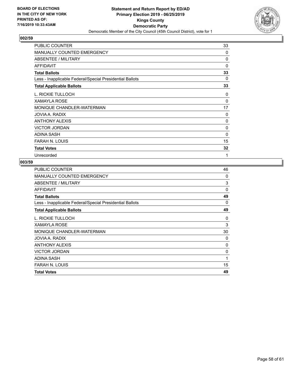

| <b>PUBLIC COUNTER</b>                                    | 33       |
|----------------------------------------------------------|----------|
| <b>MANUALLY COUNTED EMERGENCY</b>                        | $\Omega$ |
| ABSENTEE / MILITARY                                      | 0        |
| <b>AFFIDAVIT</b>                                         | 0        |
| <b>Total Ballots</b>                                     | 33       |
| Less - Inapplicable Federal/Special Presidential Ballots | 0        |
| <b>Total Applicable Ballots</b>                          | 33       |
| L. RICKIE TULLOCH                                        | 0        |
| <b>XAMAYLA ROSE</b>                                      | $\Omega$ |
| MONIQUE CHANDLER-WATERMAN                                | 17       |
| JOVIA A. RADIX                                           | 0        |
| <b>ANTHONY ALEXIS</b>                                    | 0        |
| <b>VICTOR JORDAN</b>                                     | 0        |
| <b>ADINA SASH</b>                                        | 0        |
| FARAH N. LOUIS                                           | 15       |
| <b>Total Votes</b>                                       | 32       |
| Unrecorded                                               | 1        |

| <b>PUBLIC COUNTER</b>                                    | 46 |
|----------------------------------------------------------|----|
| <b>MANUALLY COUNTED EMERGENCY</b>                        | 0  |
| <b>ABSENTEE / MILITARY</b>                               | 3  |
| <b>AFFIDAVIT</b>                                         | 0  |
| <b>Total Ballots</b>                                     | 49 |
| Less - Inapplicable Federal/Special Presidential Ballots | 0  |
| <b>Total Applicable Ballots</b>                          | 49 |
| L. RICKIE TULLOCH                                        | 0  |
| <b>XAMAYLA ROSE</b>                                      | 3  |
| MONIQUE CHANDLER-WATERMAN                                | 30 |
| JOVIA A. RADIX                                           | 0  |
| <b>ANTHONY ALEXIS</b>                                    | 0  |
| <b>VICTOR JORDAN</b>                                     | 0  |
| ADINA SASH                                               | 1  |
| <b>FARAH N. LOUIS</b>                                    | 15 |
| <b>Total Votes</b>                                       | 49 |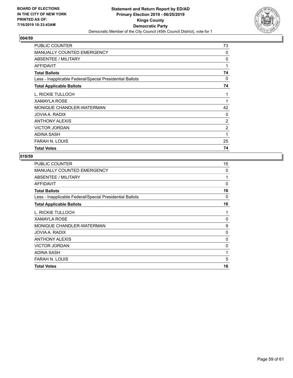

| PUBLIC COUNTER                                           | 73             |
|----------------------------------------------------------|----------------|
| <b>MANUALLY COUNTED EMERGENCY</b>                        | 0              |
| ABSENTEE / MILITARY                                      | 0              |
| AFFIDAVIT                                                | 1              |
| <b>Total Ballots</b>                                     | 74             |
| Less - Inapplicable Federal/Special Presidential Ballots | 0              |
| <b>Total Applicable Ballots</b>                          | 74             |
| L. RICKIE TULLOCH                                        | 1              |
| <b>XAMAYLA ROSE</b>                                      | 1              |
| MONIQUE CHANDLER-WATERMAN                                | 42             |
| JOVIA A. RADIX                                           | 0              |
| <b>ANTHONY ALEXIS</b>                                    | $\overline{2}$ |
| <b>VICTOR JORDAN</b>                                     | $\overline{2}$ |
| <b>ADINA SASH</b>                                        | 1              |
| <b>FARAH N. LOUIS</b>                                    | 25             |
| <b>Total Votes</b>                                       | 74             |

| PUBLIC COUNTER                                           | 15 |
|----------------------------------------------------------|----|
| <b>MANUALLY COUNTED EMERGENCY</b>                        | 0  |
| ABSENTEE / MILITARY                                      | 1  |
| AFFIDAVIT                                                | 0  |
| <b>Total Ballots</b>                                     | 16 |
| Less - Inapplicable Federal/Special Presidential Ballots | 0  |
| <b>Total Applicable Ballots</b>                          | 16 |
| L. RICKIE TULLOCH                                        | 1  |
| <b>XAMAYLA ROSE</b>                                      | 0  |
| MONIQUE CHANDLER-WATERMAN                                | 9  |
| JOVIA A. RADIX                                           | 0  |
| <b>ANTHONY ALEXIS</b>                                    | 0  |
| <b>VICTOR JORDAN</b>                                     | 0  |
| ADINA SASH                                               | 1  |
| <b>FARAH N. LOUIS</b>                                    | 5  |
| <b>Total Votes</b>                                       | 16 |
|                                                          |    |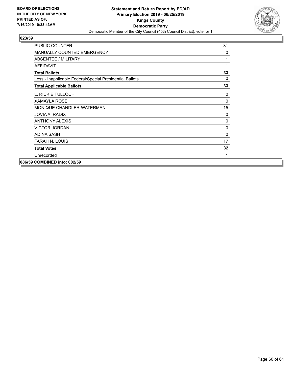

| PUBLIC COUNTER                                           | 31       |
|----------------------------------------------------------|----------|
| MANUALLY COUNTED EMERGENCY                               | $\Omega$ |
| ABSENTEE / MILITARY                                      | 1        |
| <b>AFFIDAVIT</b>                                         | 1        |
| <b>Total Ballots</b>                                     | 33       |
| Less - Inapplicable Federal/Special Presidential Ballots | $\Omega$ |
| <b>Total Applicable Ballots</b>                          | 33       |
| L. RICKIE TULLOCH                                        | 0        |
| <b>XAMAYLA ROSE</b>                                      | $\Omega$ |
| MONIQUE CHANDLER-WATERMAN                                | 15       |
| JOVIA A. RADIX                                           | 0        |
| <b>ANTHONY ALEXIS</b>                                    | 0        |
| <b>VICTOR JORDAN</b>                                     | 0        |
| ADINA SASH                                               | $\Omega$ |
| <b>FARAH N. LOUIS</b>                                    | 17       |
| <b>Total Votes</b>                                       | 32       |
| Unrecorded                                               | 1        |
| 086/59 COMBINED into: 002/59                             |          |